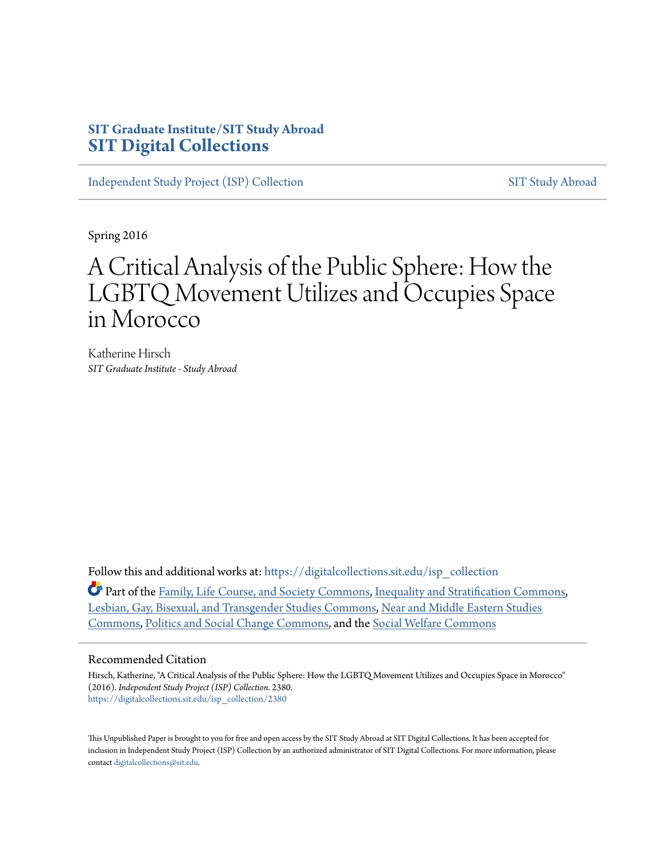# **SIT Graduate Institute/SIT Study Abroad [SIT Digital Collections](https://digitalcollections.sit.edu?utm_source=digitalcollections.sit.edu%2Fisp_collection%2F2380&utm_medium=PDF&utm_campaign=PDFCoverPages)**

[Independent Study Project \(ISP\) Collection](https://digitalcollections.sit.edu/isp_collection?utm_source=digitalcollections.sit.edu%2Fisp_collection%2F2380&utm_medium=PDF&utm_campaign=PDFCoverPages) [SIT Study Abroad](https://digitalcollections.sit.edu/study_abroad?utm_source=digitalcollections.sit.edu%2Fisp_collection%2F2380&utm_medium=PDF&utm_campaign=PDFCoverPages)

Spring 2016

# A Critical Analysis of the Public Sphere: How the LGBTQ Movement Utilizes and Occupies Space in Morocco

Katherine Hirsch *SIT Graduate Institute - Study Abroad*

Follow this and additional works at: [https://digitalcollections.sit.edu/isp\\_collection](https://digitalcollections.sit.edu/isp_collection?utm_source=digitalcollections.sit.edu%2Fisp_collection%2F2380&utm_medium=PDF&utm_campaign=PDFCoverPages)

Part of the [Family, Life Course, and Society Commons](http://network.bepress.com/hgg/discipline/419?utm_source=digitalcollections.sit.edu%2Fisp_collection%2F2380&utm_medium=PDF&utm_campaign=PDFCoverPages), [Inequality and Stratification Commons,](http://network.bepress.com/hgg/discipline/421?utm_source=digitalcollections.sit.edu%2Fisp_collection%2F2380&utm_medium=PDF&utm_campaign=PDFCoverPages) [Lesbian, Gay, Bisexual, and Transgender Studies Commons,](http://network.bepress.com/hgg/discipline/560?utm_source=digitalcollections.sit.edu%2Fisp_collection%2F2380&utm_medium=PDF&utm_campaign=PDFCoverPages) [Near and Middle Eastern Studies](http://network.bepress.com/hgg/discipline/1308?utm_source=digitalcollections.sit.edu%2Fisp_collection%2F2380&utm_medium=PDF&utm_campaign=PDFCoverPages) [Commons,](http://network.bepress.com/hgg/discipline/1308?utm_source=digitalcollections.sit.edu%2Fisp_collection%2F2380&utm_medium=PDF&utm_campaign=PDFCoverPages) [Politics and Social Change Commons](http://network.bepress.com/hgg/discipline/425?utm_source=digitalcollections.sit.edu%2Fisp_collection%2F2380&utm_medium=PDF&utm_campaign=PDFCoverPages), and the [Social Welfare Commons](http://network.bepress.com/hgg/discipline/401?utm_source=digitalcollections.sit.edu%2Fisp_collection%2F2380&utm_medium=PDF&utm_campaign=PDFCoverPages)

#### Recommended Citation

Hirsch, Katherine, "A Critical Analysis of the Public Sphere: How the LGBTQ Movement Utilizes and Occupies Space in Morocco" (2016). *Independent Study Project (ISP) Collection*. 2380. [https://digitalcollections.sit.edu/isp\\_collection/2380](https://digitalcollections.sit.edu/isp_collection/2380?utm_source=digitalcollections.sit.edu%2Fisp_collection%2F2380&utm_medium=PDF&utm_campaign=PDFCoverPages)

This Unpublished Paper is brought to you for free and open access by the SIT Study Abroad at SIT Digital Collections. It has been accepted for inclusion in Independent Study Project (ISP) Collection by an authorized administrator of SIT Digital Collections. For more information, please contact [digitalcollections@sit.edu](mailto:digitalcollections@sit.edu).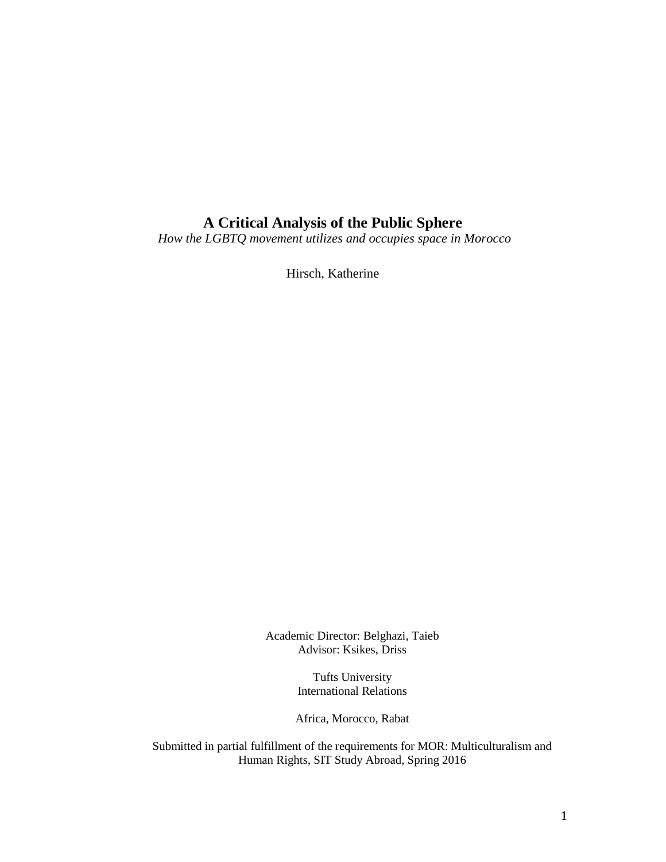# **A Critical Analysis of the Public Sphere**

*How the LGBTQ movement utilizes and occupies space in Morocco*

Hirsch, Katherine

Academic Director: Belghazi, Taieb Advisor: Ksikes, Driss

> Tufts University International Relations

Africa, Morocco, Rabat

Submitted in partial fulfillment of the requirements for MOR: Multiculturalism and Human Rights, SIT Study Abroad, Spring 2016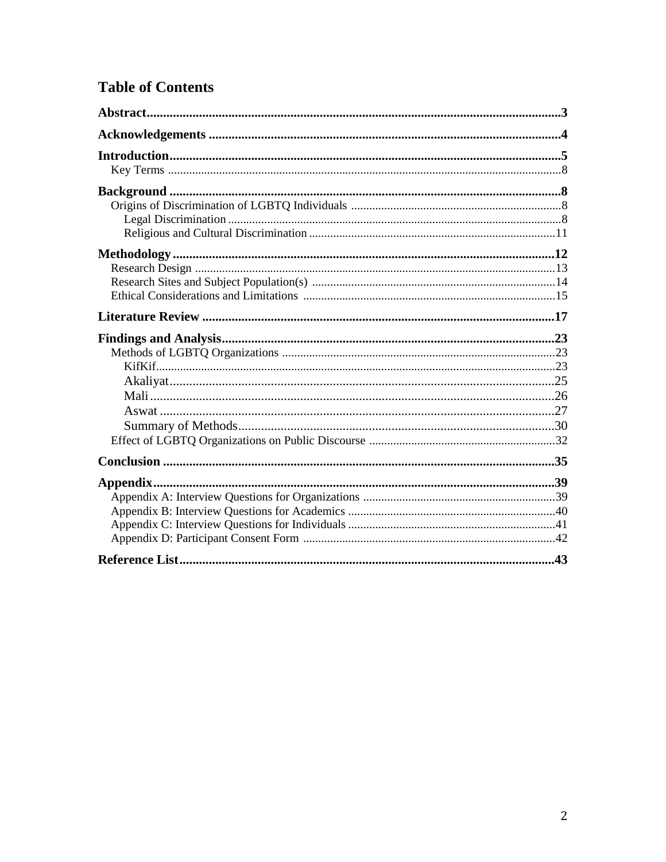# **Table of Contents**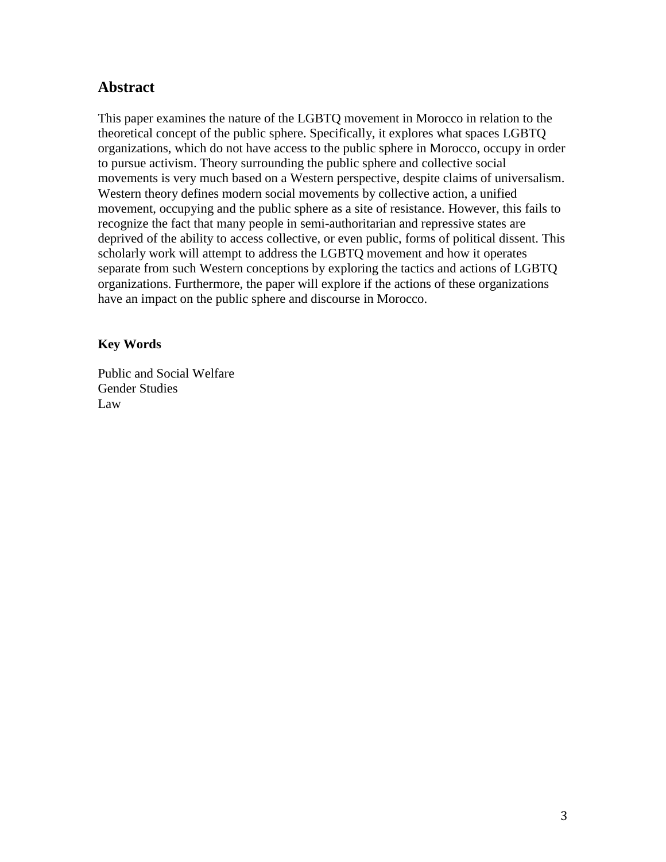# **Abstract**

This paper examines the nature of the LGBTQ movement in Morocco in relation to the theoretical concept of the public sphere. Specifically, it explores what spaces LGBTQ organizations, which do not have access to the public sphere in Morocco, occupy in order to pursue activism. Theory surrounding the public sphere and collective social movements is very much based on a Western perspective, despite claims of universalism. Western theory defines modern social movements by collective action, a unified movement, occupying and the public sphere as a site of resistance. However, this fails to recognize the fact that many people in semi-authoritarian and repressive states are deprived of the ability to access collective, or even public, forms of political dissent. This scholarly work will attempt to address the LGBTQ movement and how it operates separate from such Western conceptions by exploring the tactics and actions of LGBTQ organizations. Furthermore, the paper will explore if the actions of these organizations have an impact on the public sphere and discourse in Morocco.

### **Key Words**

Public and Social Welfare Gender Studies Law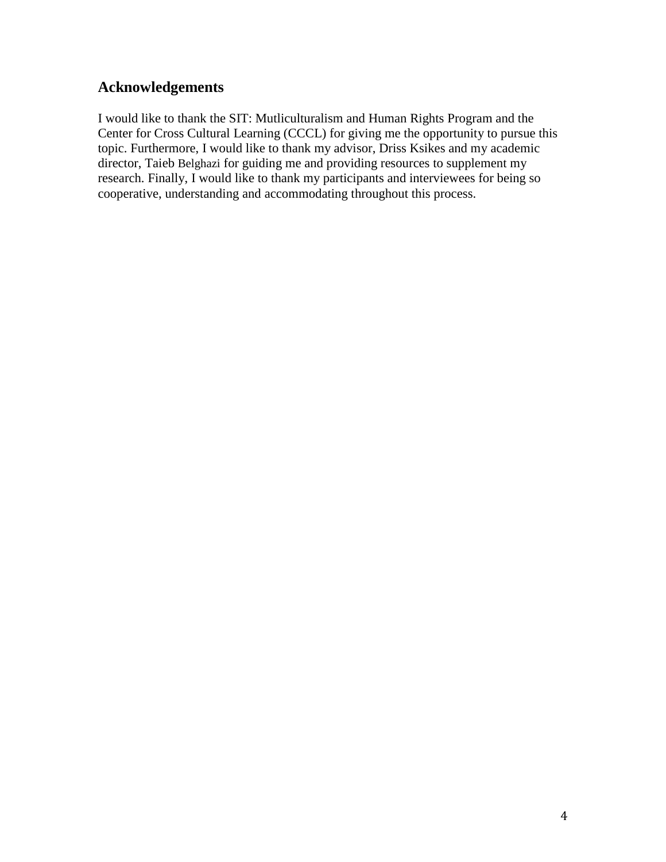# **Acknowledgements**

I would like to thank the SIT: Mutliculturalism and Human Rights Program and the Center for Cross Cultural Learning (CCCL) for giving me the opportunity to pursue this topic. Furthermore, I would like to thank my advisor, Driss Ksikes and my academic director, Taieb Belghazi for guiding me and providing resources to supplement my research. Finally, I would like to thank my participants and interviewees for being so cooperative, understanding and accommodating throughout this process.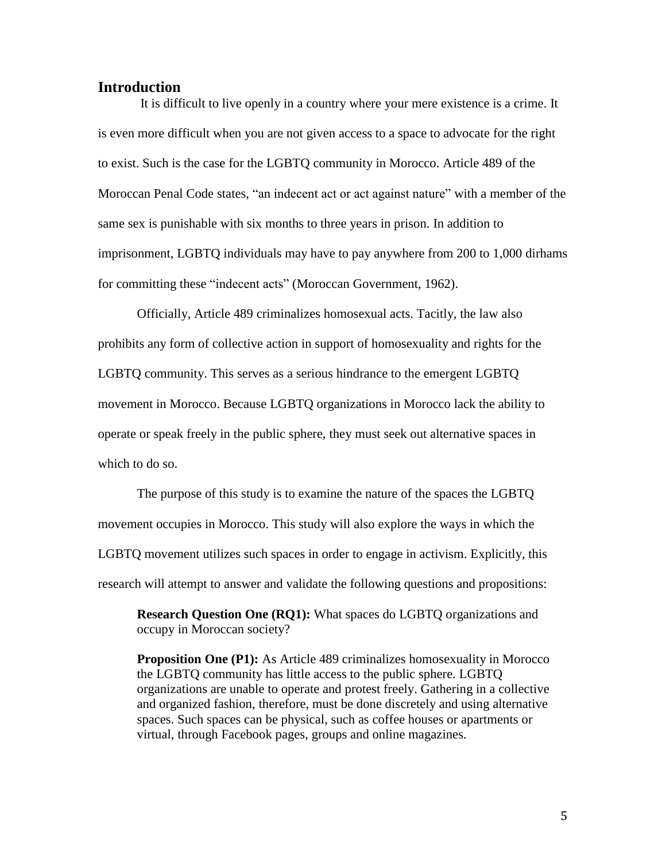#### **Introduction**

It is difficult to live openly in a country where your mere existence is a crime. It is even more difficult when you are not given access to a space to advocate for the right to exist. Such is the case for the LGBTQ community in Morocco. Article 489 of the Moroccan Penal Code states, "an indecent act or act against nature" with a member of the same sex is punishable with six months to three years in prison. In addition to imprisonment, LGBTQ individuals may have to pay anywhere from 200 to 1,000 dirhams for committing these "indecent acts" (Moroccan Government, 1962).

Officially, Article 489 criminalizes homosexual acts. Tacitly, the law also prohibits any form of collective action in support of homosexuality and rights for the LGBTQ community. This serves as a serious hindrance to the emergent LGBTQ movement in Morocco. Because LGBTQ organizations in Morocco lack the ability to operate or speak freely in the public sphere, they must seek out alternative spaces in which to do so.

The purpose of this study is to examine the nature of the spaces the LGBTQ movement occupies in Morocco. This study will also explore the ways in which the LGBTQ movement utilizes such spaces in order to engage in activism. Explicitly, this research will attempt to answer and validate the following questions and propositions:

**Research Question One (RQ1):** What spaces do LGBTQ organizations and occupy in Moroccan society?

**Proposition One (P1):** As Article 489 criminalizes homosexuality in Morocco the LGBTQ community has little access to the public sphere. LGBTQ organizations are unable to operate and protest freely. Gathering in a collective and organized fashion, therefore, must be done discretely and using alternative spaces. Such spaces can be physical, such as coffee houses or apartments or virtual, through Facebook pages, groups and online magazines.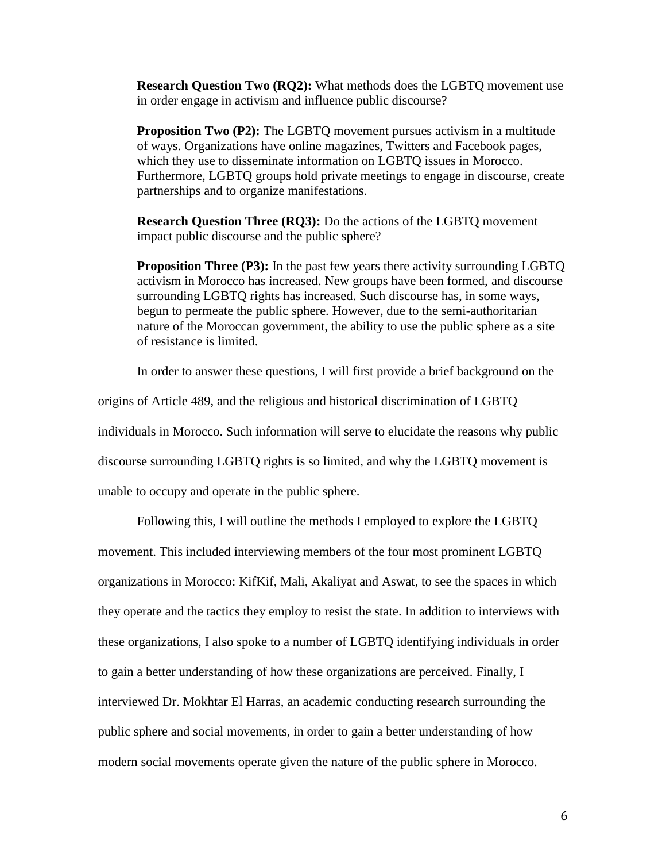**Research Question Two (RQ2):** What methods does the LGBTQ movement use in order engage in activism and influence public discourse?

**Proposition Two (P2):** The LGBTQ movement pursues activism in a multitude of ways. Organizations have online magazines, Twitters and Facebook pages, which they use to disseminate information on LGBTQ issues in Morocco. Furthermore, LGBTQ groups hold private meetings to engage in discourse, create partnerships and to organize manifestations.

**Research Question Three (RQ3):** Do the actions of the LGBTQ movement impact public discourse and the public sphere?

**Proposition Three (P3):** In the past few years there activity surrounding LGBTQ activism in Morocco has increased. New groups have been formed, and discourse surrounding LGBTQ rights has increased. Such discourse has, in some ways, begun to permeate the public sphere. However, due to the semi-authoritarian nature of the Moroccan government, the ability to use the public sphere as a site of resistance is limited.

In order to answer these questions, I will first provide a brief background on the

origins of Article 489, and the religious and historical discrimination of LGBTQ

individuals in Morocco. Such information will serve to elucidate the reasons why public

discourse surrounding LGBTQ rights is so limited, and why the LGBTQ movement is

unable to occupy and operate in the public sphere.

Following this, I will outline the methods I employed to explore the LGBTQ movement. This included interviewing members of the four most prominent LGBTQ organizations in Morocco: KifKif, Mali, Akaliyat and Aswat, to see the spaces in which they operate and the tactics they employ to resist the state. In addition to interviews with these organizations, I also spoke to a number of LGBTQ identifying individuals in order to gain a better understanding of how these organizations are perceived. Finally, I interviewed Dr. Mokhtar El Harras, an academic conducting research surrounding the public sphere and social movements, in order to gain a better understanding of how modern social movements operate given the nature of the public sphere in Morocco.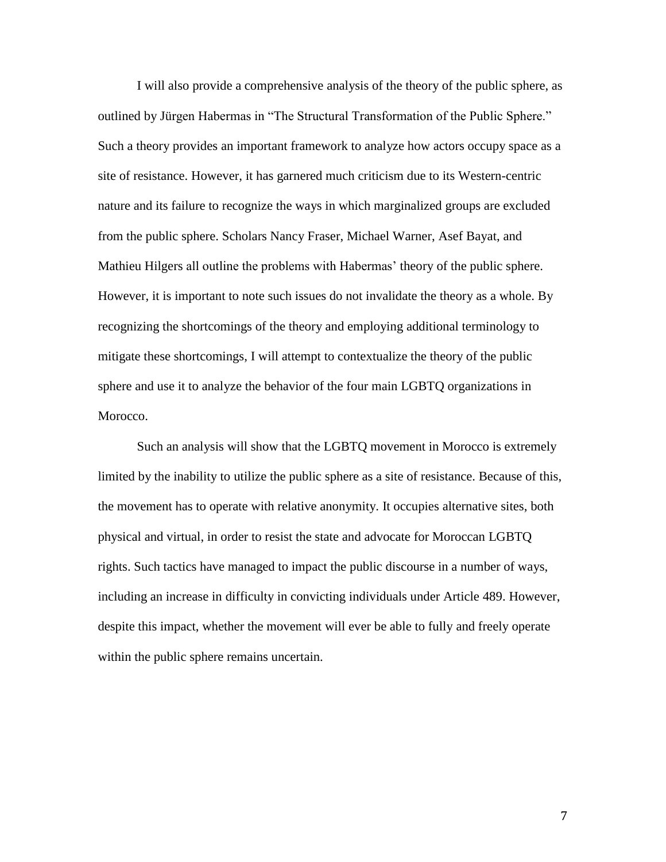I will also provide a comprehensive analysis of the theory of the public sphere, as outlined by Jürgen Habermas in "The Structural Transformation of the Public Sphere." Such a theory provides an important framework to analyze how actors occupy space as a site of resistance. However, it has garnered much criticism due to its Western-centric nature and its failure to recognize the ways in which marginalized groups are excluded from the public sphere. Scholars Nancy Fraser, Michael Warner, Asef Bayat, and Mathieu Hilgers all outline the problems with Habermas' theory of the public sphere. However, it is important to note such issues do not invalidate the theory as a whole. By recognizing the shortcomings of the theory and employing additional terminology to mitigate these shortcomings, I will attempt to contextualize the theory of the public sphere and use it to analyze the behavior of the four main LGBTQ organizations in Morocco.

Such an analysis will show that the LGBTQ movement in Morocco is extremely limited by the inability to utilize the public sphere as a site of resistance. Because of this, the movement has to operate with relative anonymity. It occupies alternative sites, both physical and virtual, in order to resist the state and advocate for Moroccan LGBTQ rights. Such tactics have managed to impact the public discourse in a number of ways, including an increase in difficulty in convicting individuals under Article 489. However, despite this impact, whether the movement will ever be able to fully and freely operate within the public sphere remains uncertain.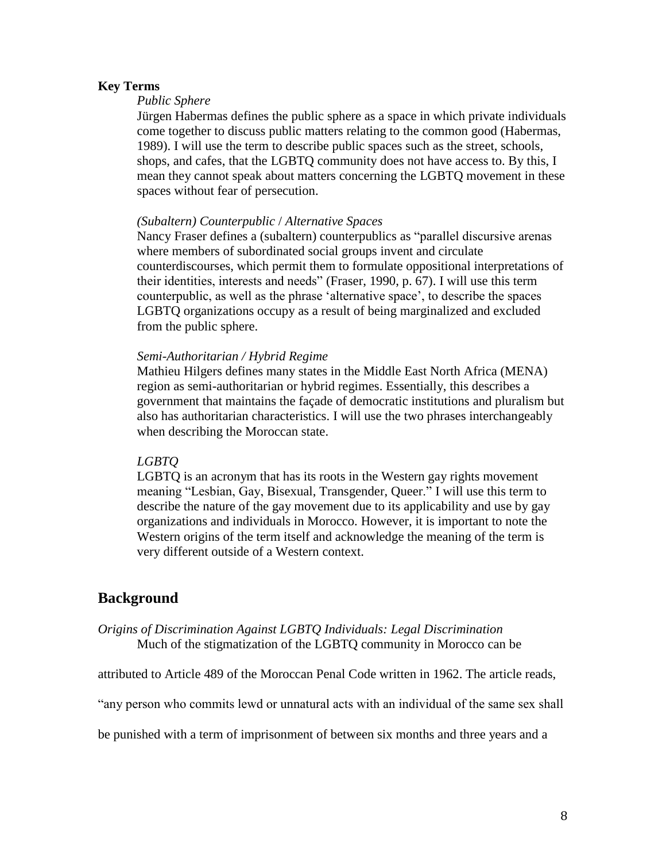#### **Key Terms**

### *Public Sphere*

Jürgen Habermas defines the public sphere as a space in which private individuals come together to discuss public matters relating to the common good (Habermas, 1989). I will use the term to describe public spaces such as the street, schools, shops, and cafes, that the LGBTQ community does not have access to. By this, I mean they cannot speak about matters concerning the LGBTQ movement in these spaces without fear of persecution.

#### *(Subaltern) Counterpublic* / *Alternative Spaces*

Nancy Fraser defines a (subaltern) counterpublics as "parallel discursive arenas where members of subordinated social groups invent and circulate counterdiscourses, which permit them to formulate oppositional interpretations of their identities, interests and needs" (Fraser, 1990, p. 67). I will use this term counterpublic, as well as the phrase 'alternative space', to describe the spaces LGBTQ organizations occupy as a result of being marginalized and excluded from the public sphere.

#### *Semi-Authoritarian / Hybrid Regime*

Mathieu Hilgers defines many states in the Middle East North Africa (MENA) region as semi-authoritarian or hybrid regimes. Essentially, this describes a government that maintains the façade of democratic institutions and pluralism but also has authoritarian characteristics. I will use the two phrases interchangeably when describing the Moroccan state.

### *LGBTQ*

LGBTQ is an acronym that has its roots in the Western gay rights movement meaning "Lesbian, Gay, Bisexual, Transgender, Queer." I will use this term to describe the nature of the gay movement due to its applicability and use by gay organizations and individuals in Morocco. However, it is important to note the Western origins of the term itself and acknowledge the meaning of the term is very different outside of a Western context.

### **Background**

### *Origins of Discrimination Against LGBTQ Individuals: Legal Discrimination*  Much of the stigmatization of the LGBTQ community in Morocco can be

attributed to Article 489 of the Moroccan Penal Code written in 1962. The article reads,

"any person who commits lewd or unnatural acts with an individual of the same sex shall

be punished with a term of imprisonment of between six months and three years and a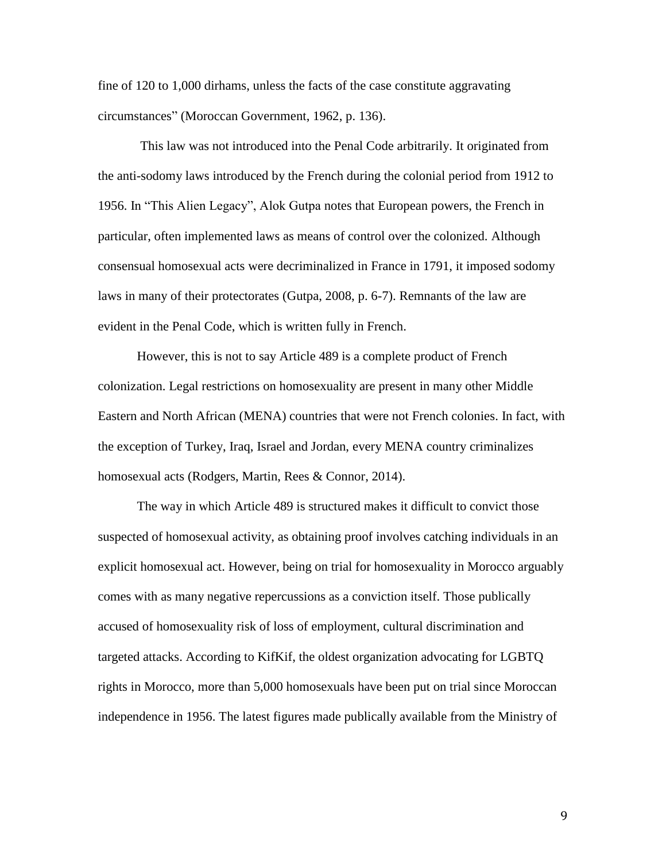fine of 120 to 1,000 dirhams, unless the facts of the case constitute aggravating circumstances" (Moroccan Government, 1962, p. 136).

This law was not introduced into the Penal Code arbitrarily. It originated from the anti-sodomy laws introduced by the French during the colonial period from 1912 to 1956. In "This Alien Legacy", Alok Gutpa notes that European powers, the French in particular, often implemented laws as means of control over the colonized. Although consensual homosexual acts were decriminalized in France in 1791, it imposed sodomy laws in many of their protectorates (Gutpa, 2008, p. 6-7). Remnants of the law are evident in the Penal Code, which is written fully in French.

However, this is not to say Article 489 is a complete product of French colonization. Legal restrictions on homosexuality are present in many other Middle Eastern and North African (MENA) countries that were not French colonies. In fact, with the exception of Turkey, Iraq, Israel and Jordan, every MENA country criminalizes homosexual acts (Rodgers, Martin, Rees & Connor, 2014).

The way in which Article 489 is structured makes it difficult to convict those suspected of homosexual activity, as obtaining proof involves catching individuals in an explicit homosexual act. However, being on trial for homosexuality in Morocco arguably comes with as many negative repercussions as a conviction itself. Those publically accused of homosexuality risk of loss of employment, cultural discrimination and targeted attacks. According to KifKif, the oldest organization advocating for LGBTQ rights in Morocco, more than 5,000 homosexuals have been put on trial since Moroccan independence in 1956. The latest figures made publically available from the Ministry of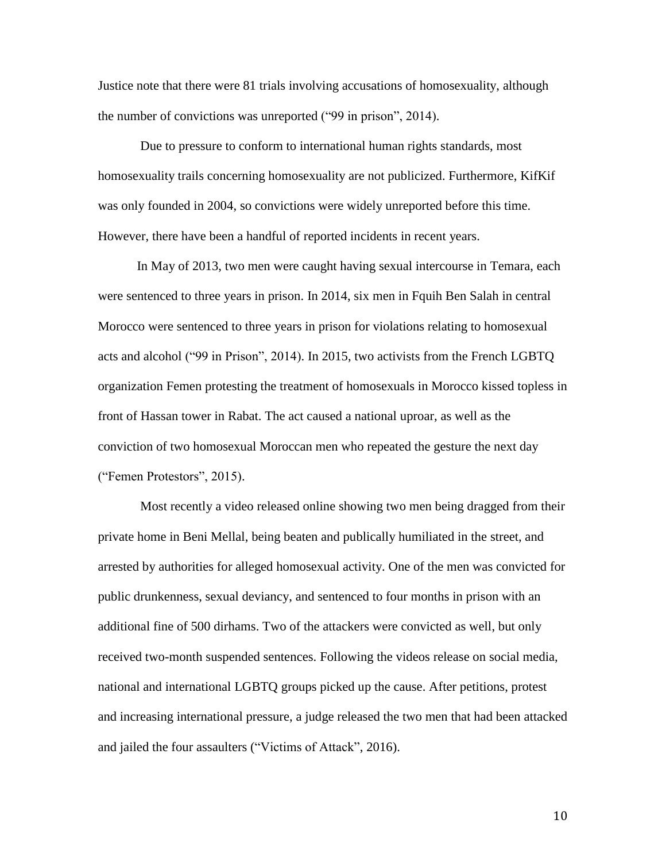Justice note that there were 81 trials involving accusations of homosexuality, although the number of convictions was unreported ("99 in prison", 2014).

Due to pressure to conform to international human rights standards, most homosexuality trails concerning homosexuality are not publicized. Furthermore, KifKif was only founded in 2004, so convictions were widely unreported before this time. However, there have been a handful of reported incidents in recent years.

In May of 2013, two men were caught having sexual intercourse in Temara, each were sentenced to three years in prison. In 2014, six men in Fquih Ben Salah in central Morocco were sentenced to three years in prison for violations relating to homosexual acts and alcohol ("99 in Prison", 2014). In 2015, two activists from the French LGBTQ organization Femen protesting the treatment of homosexuals in Morocco kissed topless in front of Hassan tower in Rabat. The act caused a national uproar, as well as the conviction of two homosexual Moroccan men who repeated the gesture the next day ("Femen Protestors", 2015).

Most recently a video released online showing two men being dragged from their private home in Beni Mellal, being beaten and publically humiliated in the street, and arrested by authorities for alleged homosexual activity. One of the men was convicted for public drunkenness, sexual deviancy, and sentenced to four months in prison with an additional fine of 500 dirhams. Two of the attackers were convicted as well, but only received two-month suspended sentences. Following the videos release on social media, national and international LGBTQ groups picked up the cause. After petitions, protest and increasing international pressure, a judge released the two men that had been attacked and jailed the four assaulters ("Victims of Attack", 2016).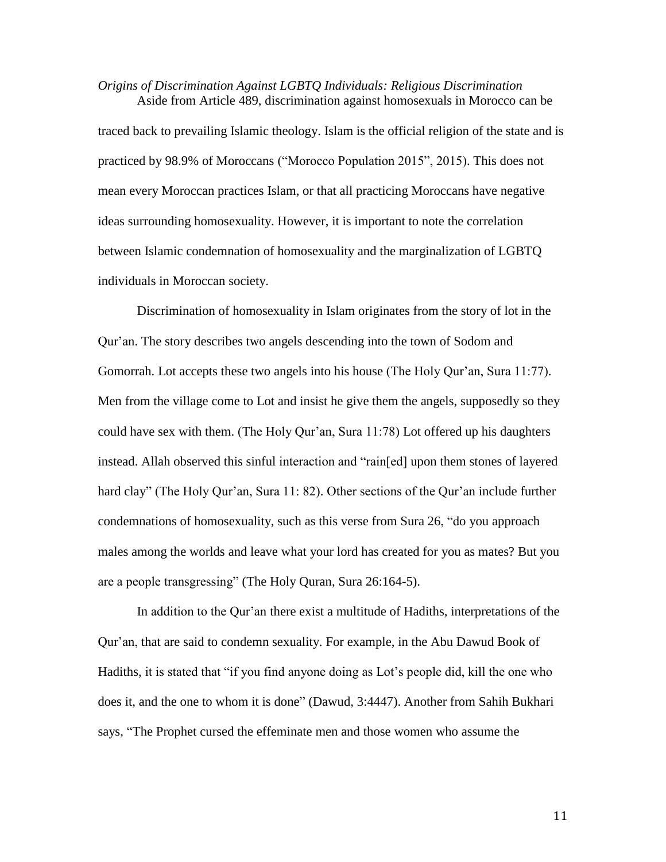*Origins of Discrimination Against LGBTQ Individuals: Religious Discrimination* Aside from Article 489, discrimination against homosexuals in Morocco can be

traced back to prevailing Islamic theology. Islam is the official religion of the state and is practiced by 98.9% of Moroccans ("Morocco Population 2015", 2015). This does not mean every Moroccan practices Islam, or that all practicing Moroccans have negative ideas surrounding homosexuality. However, it is important to note the correlation between Islamic condemnation of homosexuality and the marginalization of LGBTQ individuals in Moroccan society.

Discrimination of homosexuality in Islam originates from the story of lot in the Qur'an. The story describes two angels descending into the town of Sodom and Gomorrah. Lot accepts these two angels into his house (The Holy Qur'an, Sura 11:77). Men from the village come to Lot and insist he give them the angels, supposedly so they could have sex with them. (The Holy Qur'an, Sura 11:78) Lot offered up his daughters instead. Allah observed this sinful interaction and "rain[ed] upon them stones of layered hard clay" (The Holy Qur'an, Sura 11: 82). Other sections of the Qur'an include further condemnations of homosexuality, such as this verse from Sura 26, "do you approach males among the worlds and leave what your lord has created for you as mates? But you are a people transgressing" (The Holy Quran, Sura 26:164-5).

In addition to the Qur'an there exist a multitude of Hadiths, interpretations of the Qur'an, that are said to condemn sexuality. For example, in the Abu Dawud Book of Hadiths, it is stated that "if you find anyone doing as Lot's people did, kill the one who does it, and the one to whom it is done" (Dawud, 3:4447). Another from Sahih Bukhari says, "The Prophet cursed the effeminate men and those women who assume the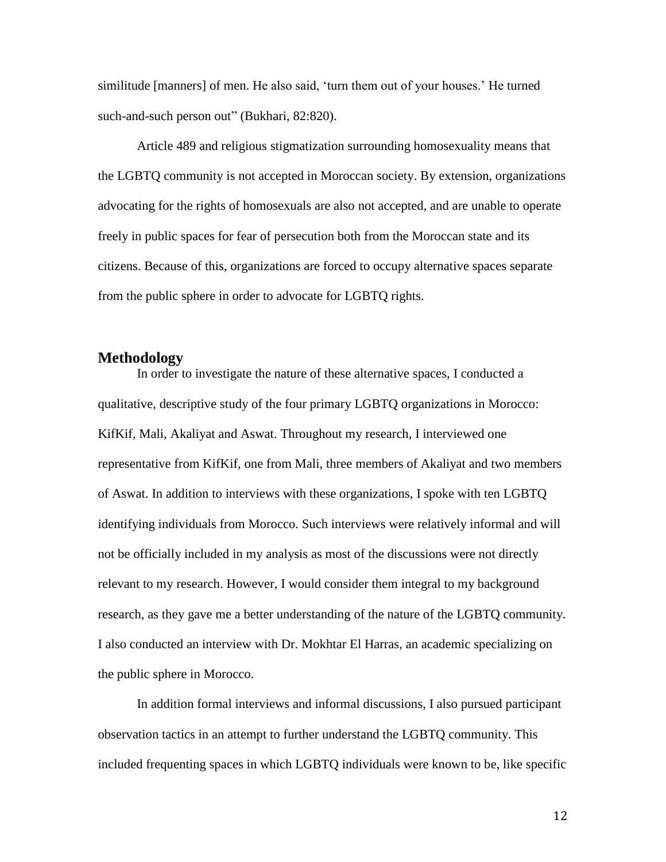similitude [manners] of men. He also said, 'turn them out of your houses.' He turned such-and-such person out" (Bukhari, 82:820).

Article 489 and religious stigmatization surrounding homosexuality means that the LGBTQ community is not accepted in Moroccan society. By extension, organizations advocating for the rights of homosexuals are also not accepted, and are unable to operate freely in public spaces for fear of persecution both from the Moroccan state and its citizens. Because of this, organizations are forced to occupy alternative spaces separate from the public sphere in order to advocate for LGBTQ rights.

### **Methodology**

In order to investigate the nature of these alternative spaces, I conducted a qualitative, descriptive study of the four primary LGBTQ organizations in Morocco: KifKif, Mali, Akaliyat and Aswat. Throughout my research, I interviewed one representative from KifKif, one from Mali, three members of Akaliyat and two members of Aswat. In addition to interviews with these organizations, I spoke with ten LGBTQ identifying individuals from Morocco. Such interviews were relatively informal and will not be officially included in my analysis as most of the discussions were not directly relevant to my research. However, I would consider them integral to my background research, as they gave me a better understanding of the nature of the LGBTQ community. I also conducted an interview with Dr. Mokhtar El Harras, an academic specializing on the public sphere in Morocco.

In addition formal interviews and informal discussions, I also pursued participant observation tactics in an attempt to further understand the LGBTQ community. This included frequenting spaces in which LGBTQ individuals were known to be, like specific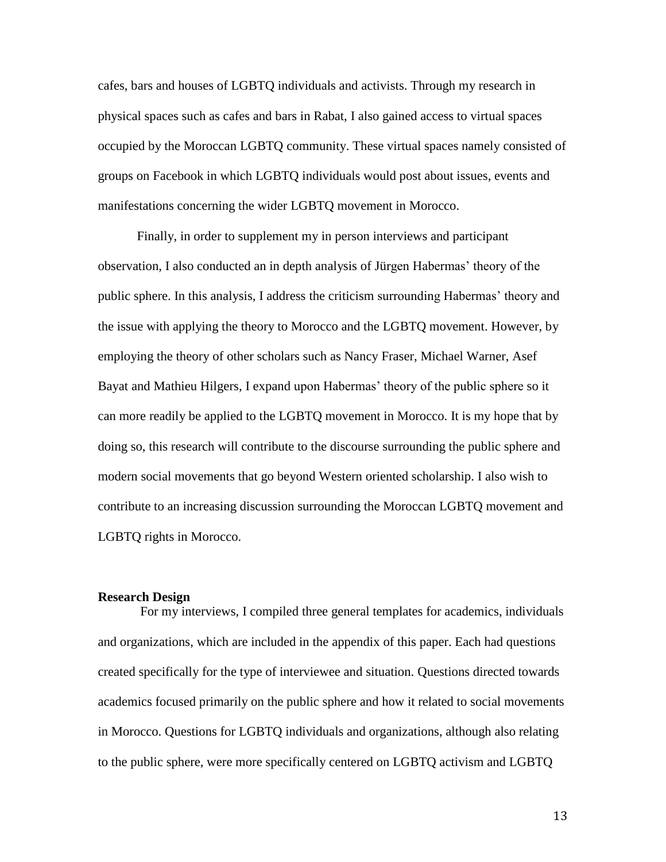cafes, bars and houses of LGBTQ individuals and activists. Through my research in physical spaces such as cafes and bars in Rabat, I also gained access to virtual spaces occupied by the Moroccan LGBTQ community. These virtual spaces namely consisted of groups on Facebook in which LGBTQ individuals would post about issues, events and manifestations concerning the wider LGBTQ movement in Morocco.

Finally, in order to supplement my in person interviews and participant observation, I also conducted an in depth analysis of Jürgen Habermas' theory of the public sphere. In this analysis, I address the criticism surrounding Habermas' theory and the issue with applying the theory to Morocco and the LGBTQ movement. However, by employing the theory of other scholars such as Nancy Fraser, Michael Warner, Asef Bayat and Mathieu Hilgers, I expand upon Habermas' theory of the public sphere so it can more readily be applied to the LGBTQ movement in Morocco. It is my hope that by doing so, this research will contribute to the discourse surrounding the public sphere and modern social movements that go beyond Western oriented scholarship. I also wish to contribute to an increasing discussion surrounding the Moroccan LGBTQ movement and LGBTQ rights in Morocco.

#### **Research Design**

For my interviews, I compiled three general templates for academics, individuals and organizations, which are included in the appendix of this paper. Each had questions created specifically for the type of interviewee and situation. Questions directed towards academics focused primarily on the public sphere and how it related to social movements in Morocco. Questions for LGBTQ individuals and organizations, although also relating to the public sphere, were more specifically centered on LGBTQ activism and LGBTQ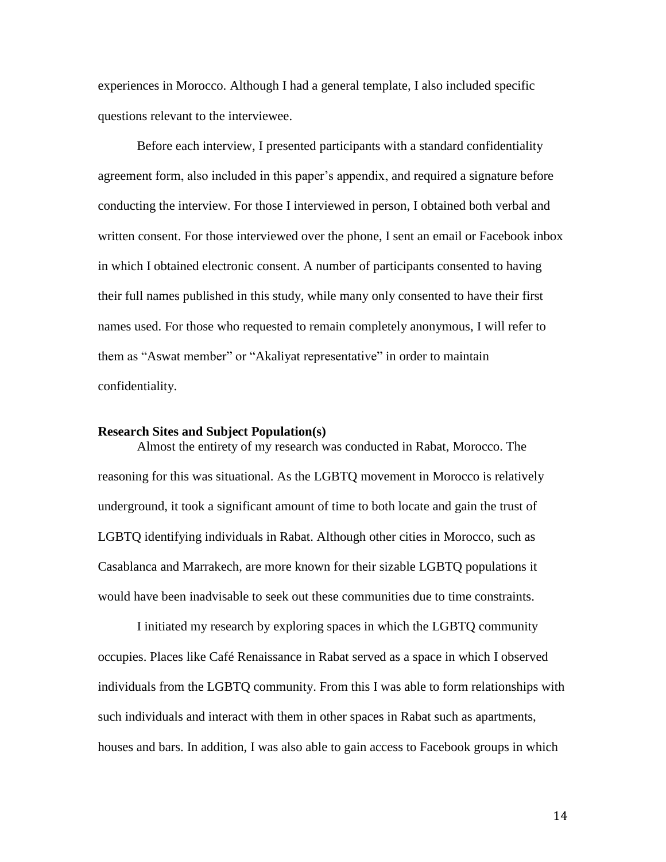experiences in Morocco. Although I had a general template, I also included specific questions relevant to the interviewee.

Before each interview, I presented participants with a standard confidentiality agreement form, also included in this paper's appendix, and required a signature before conducting the interview. For those I interviewed in person, I obtained both verbal and written consent. For those interviewed over the phone, I sent an email or Facebook inbox in which I obtained electronic consent. A number of participants consented to having their full names published in this study, while many only consented to have their first names used. For those who requested to remain completely anonymous, I will refer to them as "Aswat member" or "Akaliyat representative" in order to maintain confidentiality.

#### **Research Sites and Subject Population(s)**

Almost the entirety of my research was conducted in Rabat, Morocco. The reasoning for this was situational. As the LGBTQ movement in Morocco is relatively underground, it took a significant amount of time to both locate and gain the trust of LGBTQ identifying individuals in Rabat. Although other cities in Morocco, such as Casablanca and Marrakech, are more known for their sizable LGBTQ populations it would have been inadvisable to seek out these communities due to time constraints.

I initiated my research by exploring spaces in which the LGBTQ community occupies. Places like Café Renaissance in Rabat served as a space in which I observed individuals from the LGBTQ community. From this I was able to form relationships with such individuals and interact with them in other spaces in Rabat such as apartments, houses and bars. In addition, I was also able to gain access to Facebook groups in which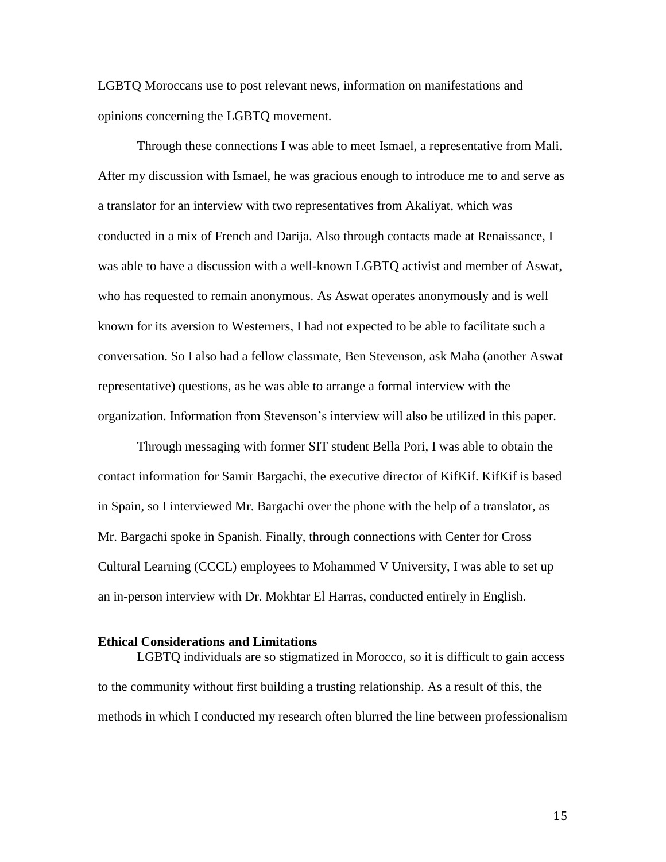LGBTQ Moroccans use to post relevant news, information on manifestations and opinions concerning the LGBTQ movement.

Through these connections I was able to meet Ismael, a representative from Mali. After my discussion with Ismael, he was gracious enough to introduce me to and serve as a translator for an interview with two representatives from Akaliyat, which was conducted in a mix of French and Darija. Also through contacts made at Renaissance, I was able to have a discussion with a well-known LGBTQ activist and member of Aswat, who has requested to remain anonymous. As Aswat operates anonymously and is well known for its aversion to Westerners, I had not expected to be able to facilitate such a conversation. So I also had a fellow classmate, Ben Stevenson, ask Maha (another Aswat representative) questions, as he was able to arrange a formal interview with the organization. Information from Stevenson's interview will also be utilized in this paper.

Through messaging with former SIT student Bella Pori, I was able to obtain the contact information for Samir Bargachi, the executive director of KifKif. KifKif is based in Spain, so I interviewed Mr. Bargachi over the phone with the help of a translator, as Mr. Bargachi spoke in Spanish. Finally, through connections with Center for Cross Cultural Learning (CCCL) employees to Mohammed V University, I was able to set up an in-person interview with Dr. Mokhtar El Harras, conducted entirely in English.

#### **Ethical Considerations and Limitations**

LGBTQ individuals are so stigmatized in Morocco, so it is difficult to gain access to the community without first building a trusting relationship. As a result of this, the methods in which I conducted my research often blurred the line between professionalism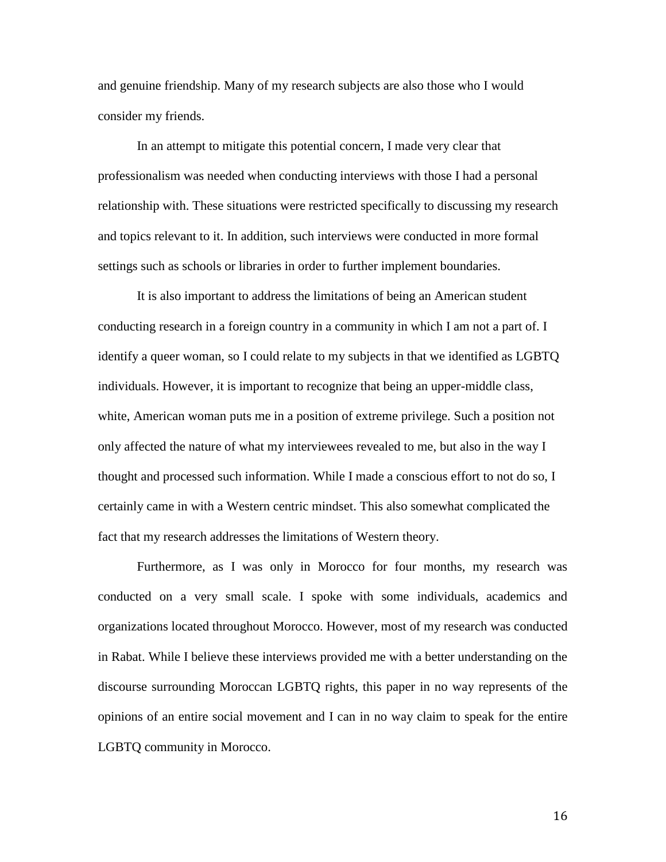and genuine friendship. Many of my research subjects are also those who I would consider my friends.

In an attempt to mitigate this potential concern, I made very clear that professionalism was needed when conducting interviews with those I had a personal relationship with. These situations were restricted specifically to discussing my research and topics relevant to it. In addition, such interviews were conducted in more formal settings such as schools or libraries in order to further implement boundaries.

It is also important to address the limitations of being an American student conducting research in a foreign country in a community in which I am not a part of. I identify a queer woman, so I could relate to my subjects in that we identified as LGBTQ individuals. However, it is important to recognize that being an upper-middle class, white, American woman puts me in a position of extreme privilege. Such a position not only affected the nature of what my interviewees revealed to me, but also in the way I thought and processed such information. While I made a conscious effort to not do so, I certainly came in with a Western centric mindset. This also somewhat complicated the fact that my research addresses the limitations of Western theory.

Furthermore, as I was only in Morocco for four months, my research was conducted on a very small scale. I spoke with some individuals, academics and organizations located throughout Morocco. However, most of my research was conducted in Rabat. While I believe these interviews provided me with a better understanding on the discourse surrounding Moroccan LGBTQ rights, this paper in no way represents of the opinions of an entire social movement and I can in no way claim to speak for the entire LGBTQ community in Morocco.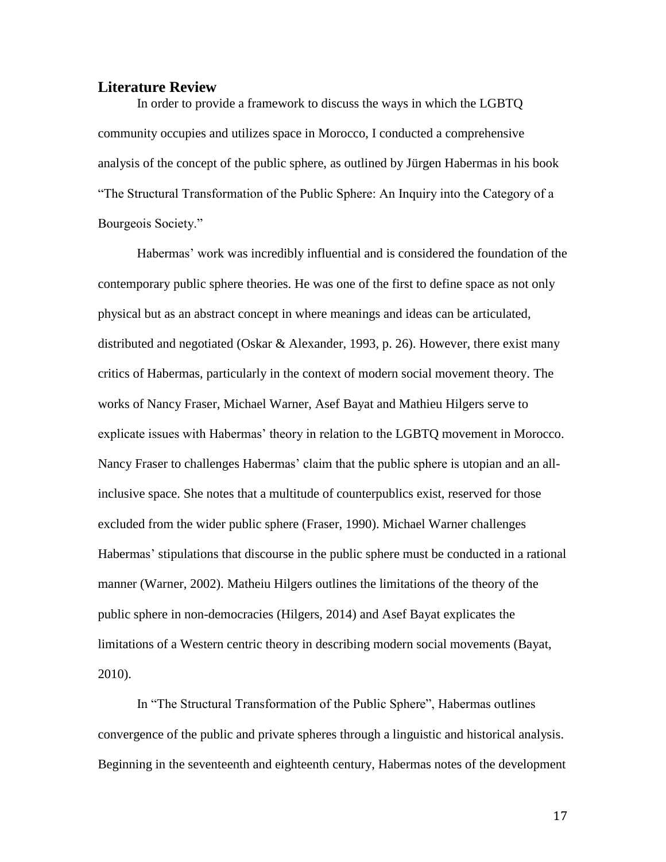### **Literature Review**

In order to provide a framework to discuss the ways in which the LGBTQ community occupies and utilizes space in Morocco, I conducted a comprehensive analysis of the concept of the public sphere, as outlined by Jürgen Habermas in his book "The Structural Transformation of the Public Sphere: An Inquiry into the Category of a Bourgeois Society."

Habermas' work was incredibly influential and is considered the foundation of the contemporary public sphere theories. He was one of the first to define space as not only physical but as an abstract concept in where meanings and ideas can be articulated, distributed and negotiated (Oskar & Alexander, 1993, p. 26). However, there exist many critics of Habermas, particularly in the context of modern social movement theory. The works of Nancy Fraser, Michael Warner, Asef Bayat and Mathieu Hilgers serve to explicate issues with Habermas' theory in relation to the LGBTQ movement in Morocco. Nancy Fraser to challenges Habermas' claim that the public sphere is utopian and an allinclusive space. She notes that a multitude of counterpublics exist, reserved for those excluded from the wider public sphere (Fraser, 1990). Michael Warner challenges Habermas' stipulations that discourse in the public sphere must be conducted in a rational manner (Warner, 2002). Matheiu Hilgers outlines the limitations of the theory of the public sphere in non-democracies (Hilgers, 2014) and Asef Bayat explicates the limitations of a Western centric theory in describing modern social movements (Bayat, 2010).

In "The Structural Transformation of the Public Sphere", Habermas outlines convergence of the public and private spheres through a linguistic and historical analysis. Beginning in the seventeenth and eighteenth century, Habermas notes of the development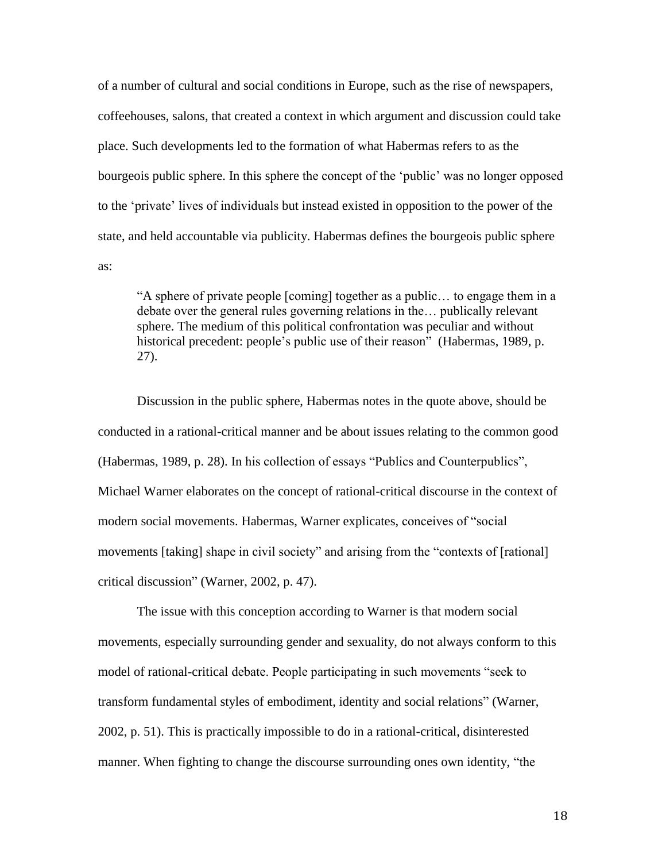of a number of cultural and social conditions in Europe, such as the rise of newspapers, coffeehouses, salons, that created a context in which argument and discussion could take place. Such developments led to the formation of what Habermas refers to as the bourgeois public sphere. In this sphere the concept of the 'public' was no longer opposed to the 'private' lives of individuals but instead existed in opposition to the power of the state, and held accountable via publicity. Habermas defines the bourgeois public sphere as:

"A sphere of private people [coming] together as a public… to engage them in a debate over the general rules governing relations in the… publically relevant sphere. The medium of this political confrontation was peculiar and without historical precedent: people's public use of their reason" (Habermas, 1989, p. 27).

Discussion in the public sphere, Habermas notes in the quote above, should be conducted in a rational-critical manner and be about issues relating to the common good (Habermas, 1989, p. 28). In his collection of essays "Publics and Counterpublics", Michael Warner elaborates on the concept of rational-critical discourse in the context of modern social movements. Habermas, Warner explicates, conceives of "social movements [taking] shape in civil society" and arising from the "contexts of [rational] critical discussion" (Warner, 2002, p. 47).

The issue with this conception according to Warner is that modern social movements, especially surrounding gender and sexuality, do not always conform to this model of rational-critical debate. People participating in such movements "seek to transform fundamental styles of embodiment, identity and social relations" (Warner, 2002, p. 51). This is practically impossible to do in a rational-critical, disinterested manner. When fighting to change the discourse surrounding ones own identity, "the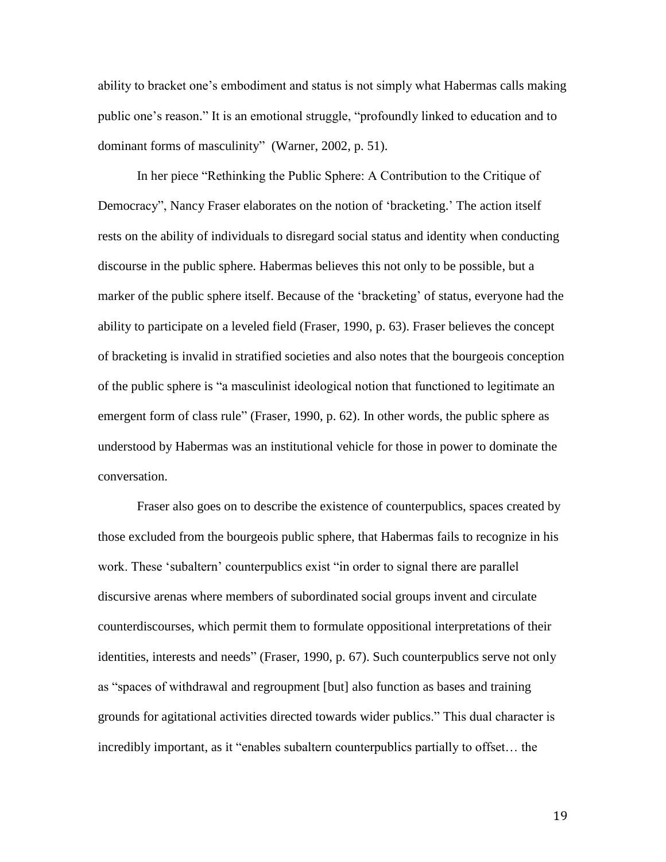ability to bracket one's embodiment and status is not simply what Habermas calls making public one's reason." It is an emotional struggle, "profoundly linked to education and to dominant forms of masculinity" (Warner, 2002, p. 51).

In her piece "Rethinking the Public Sphere: A Contribution to the Critique of Democracy", Nancy Fraser elaborates on the notion of 'bracketing.' The action itself rests on the ability of individuals to disregard social status and identity when conducting discourse in the public sphere. Habermas believes this not only to be possible, but a marker of the public sphere itself. Because of the 'bracketing' of status, everyone had the ability to participate on a leveled field (Fraser, 1990, p. 63). Fraser believes the concept of bracketing is invalid in stratified societies and also notes that the bourgeois conception of the public sphere is "a masculinist ideological notion that functioned to legitimate an emergent form of class rule" (Fraser, 1990, p. 62). In other words, the public sphere as understood by Habermas was an institutional vehicle for those in power to dominate the conversation.

Fraser also goes on to describe the existence of counterpublics, spaces created by those excluded from the bourgeois public sphere, that Habermas fails to recognize in his work. These 'subaltern' counterpublics exist "in order to signal there are parallel discursive arenas where members of subordinated social groups invent and circulate counterdiscourses, which permit them to formulate oppositional interpretations of their identities, interests and needs" (Fraser, 1990, p. 67). Such counterpublics serve not only as "spaces of withdrawal and regroupment [but] also function as bases and training grounds for agitational activities directed towards wider publics." This dual character is incredibly important, as it "enables subaltern counterpublics partially to offset… the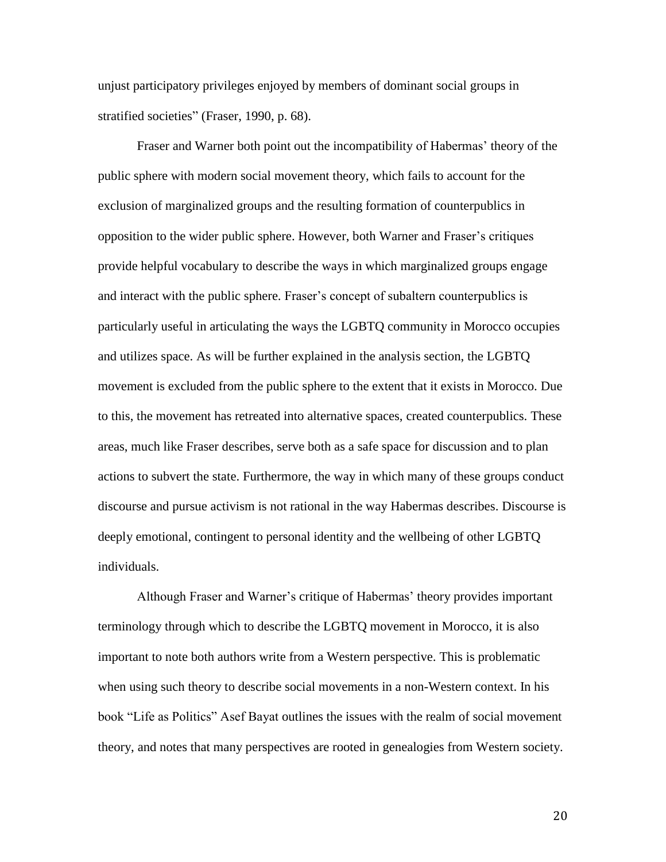unjust participatory privileges enjoyed by members of dominant social groups in stratified societies" (Fraser, 1990, p. 68).

Fraser and Warner both point out the incompatibility of Habermas' theory of the public sphere with modern social movement theory, which fails to account for the exclusion of marginalized groups and the resulting formation of counterpublics in opposition to the wider public sphere. However, both Warner and Fraser's critiques provide helpful vocabulary to describe the ways in which marginalized groups engage and interact with the public sphere. Fraser's concept of subaltern counterpublics is particularly useful in articulating the ways the LGBTQ community in Morocco occupies and utilizes space. As will be further explained in the analysis section, the LGBTQ movement is excluded from the public sphere to the extent that it exists in Morocco. Due to this, the movement has retreated into alternative spaces, created counterpublics. These areas, much like Fraser describes, serve both as a safe space for discussion and to plan actions to subvert the state. Furthermore, the way in which many of these groups conduct discourse and pursue activism is not rational in the way Habermas describes. Discourse is deeply emotional, contingent to personal identity and the wellbeing of other LGBTQ individuals.

Although Fraser and Warner's critique of Habermas' theory provides important terminology through which to describe the LGBTQ movement in Morocco, it is also important to note both authors write from a Western perspective. This is problematic when using such theory to describe social movements in a non-Western context. In his book "Life as Politics" Asef Bayat outlines the issues with the realm of social movement theory, and notes that many perspectives are rooted in genealogies from Western society.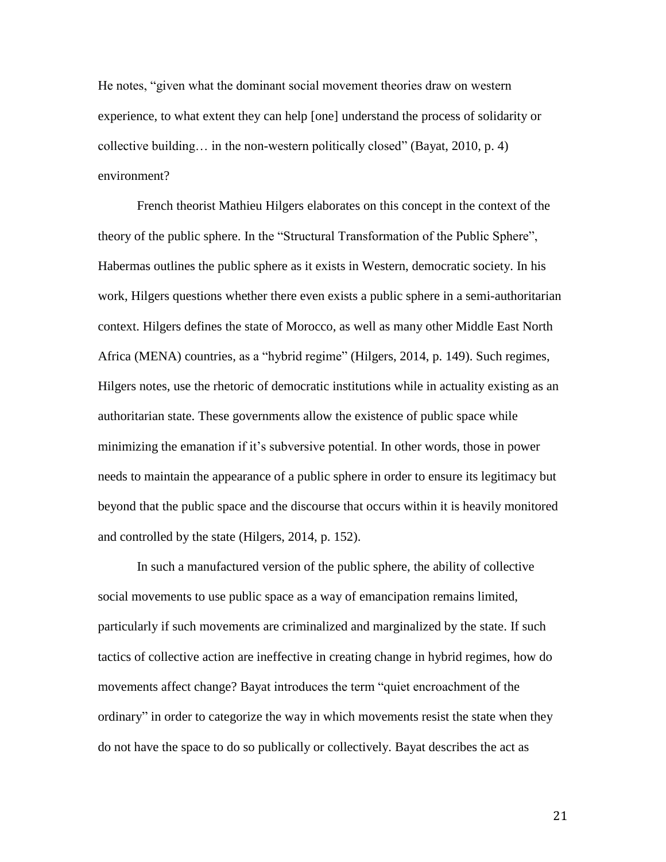He notes, "given what the dominant social movement theories draw on western experience, to what extent they can help [one] understand the process of solidarity or collective building… in the non-western politically closed" (Bayat, 2010, p. 4) environment?

French theorist Mathieu Hilgers elaborates on this concept in the context of the theory of the public sphere. In the "Structural Transformation of the Public Sphere", Habermas outlines the public sphere as it exists in Western, democratic society. In his work, Hilgers questions whether there even exists a public sphere in a semi-authoritarian context. Hilgers defines the state of Morocco, as well as many other Middle East North Africa (MENA) countries, as a "hybrid regime" (Hilgers, 2014, p. 149). Such regimes, Hilgers notes, use the rhetoric of democratic institutions while in actuality existing as an authoritarian state. These governments allow the existence of public space while minimizing the emanation if it's subversive potential. In other words, those in power needs to maintain the appearance of a public sphere in order to ensure its legitimacy but beyond that the public space and the discourse that occurs within it is heavily monitored and controlled by the state (Hilgers, 2014, p. 152).

In such a manufactured version of the public sphere, the ability of collective social movements to use public space as a way of emancipation remains limited, particularly if such movements are criminalized and marginalized by the state. If such tactics of collective action are ineffective in creating change in hybrid regimes, how do movements affect change? Bayat introduces the term "quiet encroachment of the ordinary" in order to categorize the way in which movements resist the state when they do not have the space to do so publically or collectively. Bayat describes the act as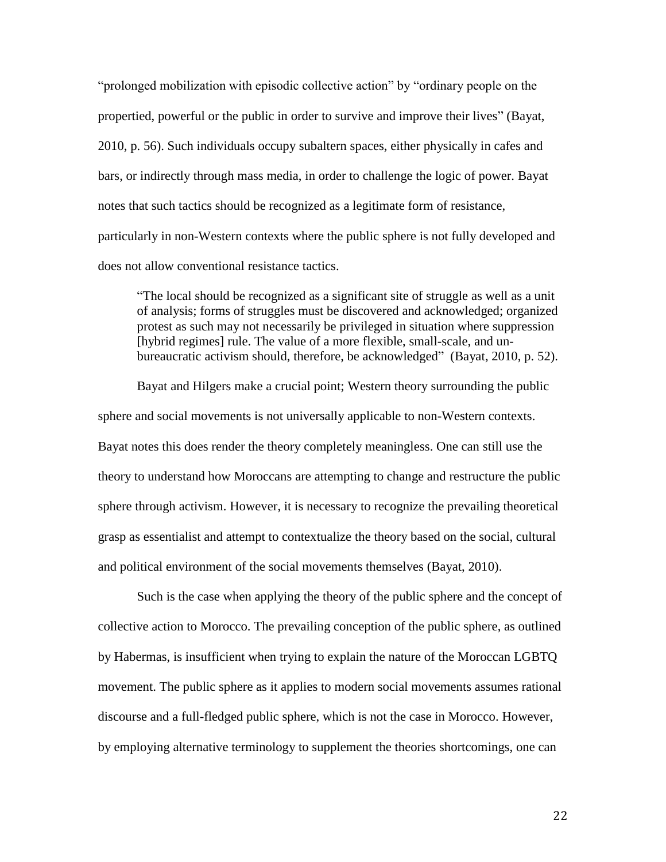"prolonged mobilization with episodic collective action" by "ordinary people on the propertied, powerful or the public in order to survive and improve their lives" (Bayat, 2010, p. 56). Such individuals occupy subaltern spaces, either physically in cafes and bars, or indirectly through mass media, in order to challenge the logic of power. Bayat notes that such tactics should be recognized as a legitimate form of resistance, particularly in non-Western contexts where the public sphere is not fully developed and does not allow conventional resistance tactics.

"The local should be recognized as a significant site of struggle as well as a unit of analysis; forms of struggles must be discovered and acknowledged; organized protest as such may not necessarily be privileged in situation where suppression [hybrid regimes] rule. The value of a more flexible, small-scale, and unbureaucratic activism should, therefore, be acknowledged" (Bayat, 2010, p. 52).

Bayat and Hilgers make a crucial point; Western theory surrounding the public sphere and social movements is not universally applicable to non-Western contexts. Bayat notes this does render the theory completely meaningless. One can still use the theory to understand how Moroccans are attempting to change and restructure the public sphere through activism. However, it is necessary to recognize the prevailing theoretical grasp as essentialist and attempt to contextualize the theory based on the social, cultural and political environment of the social movements themselves (Bayat, 2010).

Such is the case when applying the theory of the public sphere and the concept of collective action to Morocco. The prevailing conception of the public sphere, as outlined by Habermas, is insufficient when trying to explain the nature of the Moroccan LGBTQ movement. The public sphere as it applies to modern social movements assumes rational discourse and a full-fledged public sphere, which is not the case in Morocco. However, by employing alternative terminology to supplement the theories shortcomings, one can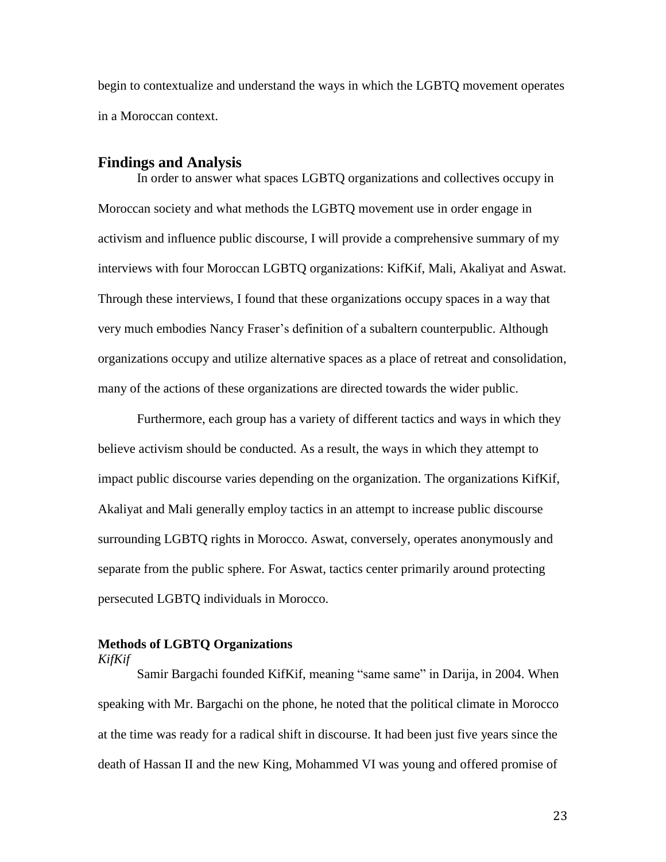begin to contextualize and understand the ways in which the LGBTQ movement operates in a Moroccan context.

#### **Findings and Analysis**

In order to answer what spaces LGBTQ organizations and collectives occupy in Moroccan society and what methods the LGBTQ movement use in order engage in activism and influence public discourse, I will provide a comprehensive summary of my interviews with four Moroccan LGBTQ organizations: KifKif, Mali, Akaliyat and Aswat. Through these interviews, I found that these organizations occupy spaces in a way that very much embodies Nancy Fraser's definition of a subaltern counterpublic. Although organizations occupy and utilize alternative spaces as a place of retreat and consolidation, many of the actions of these organizations are directed towards the wider public.

Furthermore, each group has a variety of different tactics and ways in which they believe activism should be conducted. As a result, the ways in which they attempt to impact public discourse varies depending on the organization. The organizations KifKif, Akaliyat and Mali generally employ tactics in an attempt to increase public discourse surrounding LGBTQ rights in Morocco. Aswat, conversely, operates anonymously and separate from the public sphere. For Aswat, tactics center primarily around protecting persecuted LGBTQ individuals in Morocco.

### **Methods of LGBTQ Organizations**

#### *KifKif*

Samir Bargachi founded KifKif, meaning "same same" in Darija, in 2004. When speaking with Mr. Bargachi on the phone, he noted that the political climate in Morocco at the time was ready for a radical shift in discourse. It had been just five years since the death of Hassan II and the new King, Mohammed VI was young and offered promise of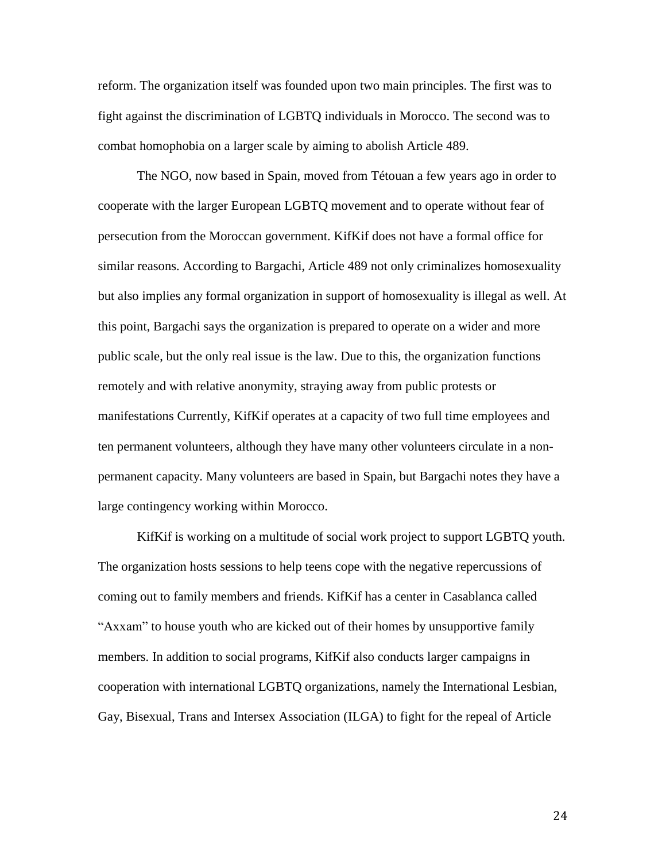reform. The organization itself was founded upon two main principles. The first was to fight against the discrimination of LGBTQ individuals in Morocco. The second was to combat homophobia on a larger scale by aiming to abolish Article 489.

The NGO, now based in Spain, moved from Tétouan a few years ago in order to cooperate with the larger European LGBTQ movement and to operate without fear of persecution from the Moroccan government. KifKif does not have a formal office for similar reasons. According to Bargachi, Article 489 not only criminalizes homosexuality but also implies any formal organization in support of homosexuality is illegal as well. At this point, Bargachi says the organization is prepared to operate on a wider and more public scale, but the only real issue is the law. Due to this, the organization functions remotely and with relative anonymity, straying away from public protests or manifestations Currently, KifKif operates at a capacity of two full time employees and ten permanent volunteers, although they have many other volunteers circulate in a nonpermanent capacity. Many volunteers are based in Spain, but Bargachi notes they have a large contingency working within Morocco.

KifKif is working on a multitude of social work project to support LGBTQ youth. The organization hosts sessions to help teens cope with the negative repercussions of coming out to family members and friends. KifKif has a center in Casablanca called "Axxam" to house youth who are kicked out of their homes by unsupportive family members. In addition to social programs, KifKif also conducts larger campaigns in cooperation with international LGBTQ organizations, namely the International Lesbian, Gay, Bisexual, Trans and Intersex Association (ILGA) to fight for the repeal of Article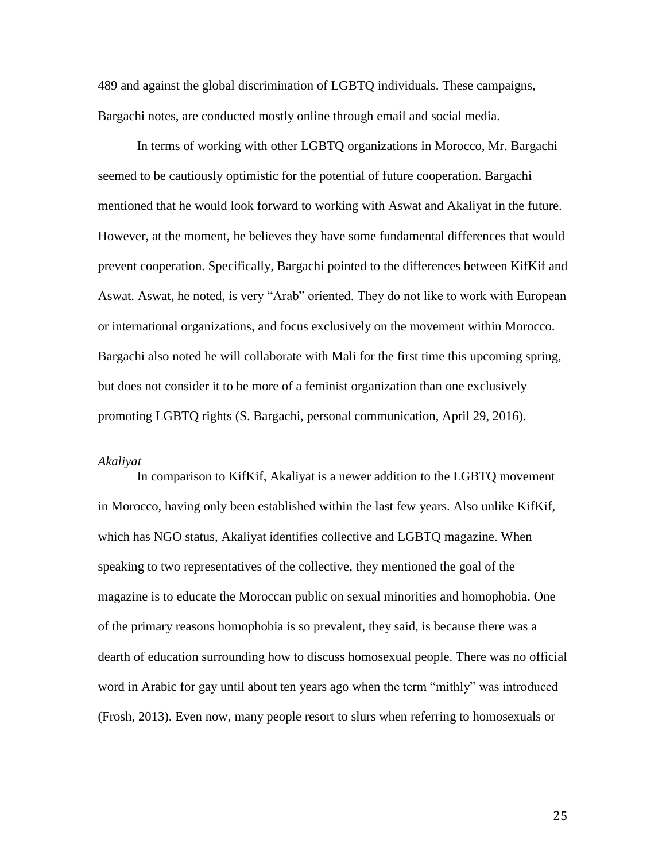489 and against the global discrimination of LGBTQ individuals. These campaigns, Bargachi notes, are conducted mostly online through email and social media.

In terms of working with other LGBTQ organizations in Morocco, Mr. Bargachi seemed to be cautiously optimistic for the potential of future cooperation. Bargachi mentioned that he would look forward to working with Aswat and Akaliyat in the future. However, at the moment, he believes they have some fundamental differences that would prevent cooperation. Specifically, Bargachi pointed to the differences between KifKif and Aswat. Aswat, he noted, is very "Arab" oriented. They do not like to work with European or international organizations, and focus exclusively on the movement within Morocco. Bargachi also noted he will collaborate with Mali for the first time this upcoming spring, but does not consider it to be more of a feminist organization than one exclusively promoting LGBTQ rights (S. Bargachi, personal communication, April 29, 2016).

#### *Akaliyat*

In comparison to KifKif, Akaliyat is a newer addition to the LGBTQ movement in Morocco, having only been established within the last few years. Also unlike KifKif, which has NGO status, Akaliyat identifies collective and LGBTQ magazine. When speaking to two representatives of the collective, they mentioned the goal of the magazine is to educate the Moroccan public on sexual minorities and homophobia. One of the primary reasons homophobia is so prevalent, they said, is because there was a dearth of education surrounding how to discuss homosexual people. There was no official word in Arabic for gay until about ten years ago when the term "mithly" was introduced (Frosh, 2013). Even now, many people resort to slurs when referring to homosexuals or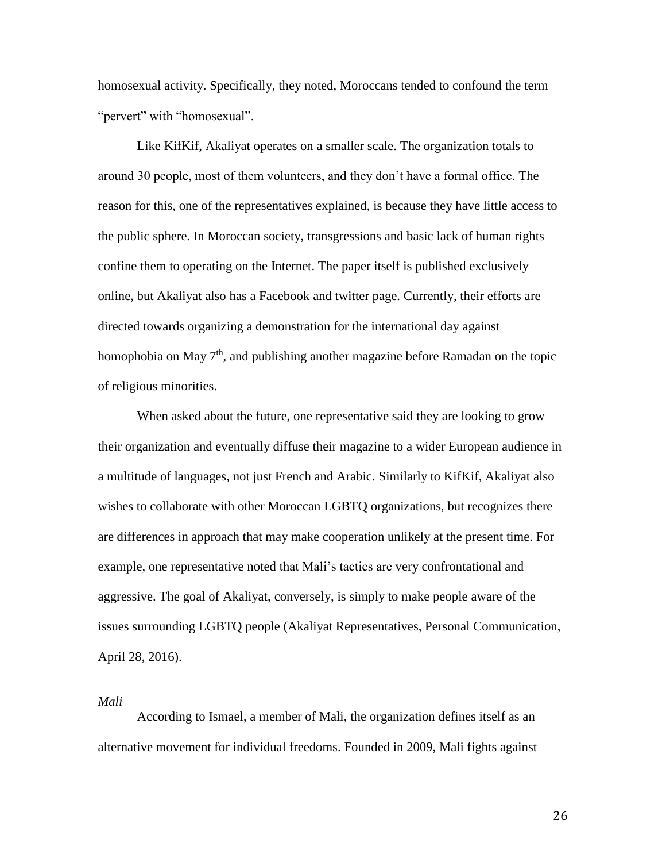homosexual activity. Specifically, they noted, Moroccans tended to confound the term "pervert" with "homosexual".

Like KifKif, Akaliyat operates on a smaller scale. The organization totals to around 30 people, most of them volunteers, and they don't have a formal office. The reason for this, one of the representatives explained, is because they have little access to the public sphere. In Moroccan society, transgressions and basic lack of human rights confine them to operating on the Internet. The paper itself is published exclusively online, but Akaliyat also has a Facebook and twitter page. Currently, their efforts are directed towards organizing a demonstration for the international day against homophobia on May  $7<sup>th</sup>$ , and publishing another magazine before Ramadan on the topic of religious minorities.

When asked about the future, one representative said they are looking to grow their organization and eventually diffuse their magazine to a wider European audience in a multitude of languages, not just French and Arabic. Similarly to KifKif, Akaliyat also wishes to collaborate with other Moroccan LGBTQ organizations, but recognizes there are differences in approach that may make cooperation unlikely at the present time. For example, one representative noted that Mali's tactics are very confrontational and aggressive. The goal of Akaliyat, conversely, is simply to make people aware of the issues surrounding LGBTQ people (Akaliyat Representatives, Personal Communication, April 28, 2016).

*Mali* 

According to Ismael, a member of Mali, the organization defines itself as an alternative movement for individual freedoms. Founded in 2009, Mali fights against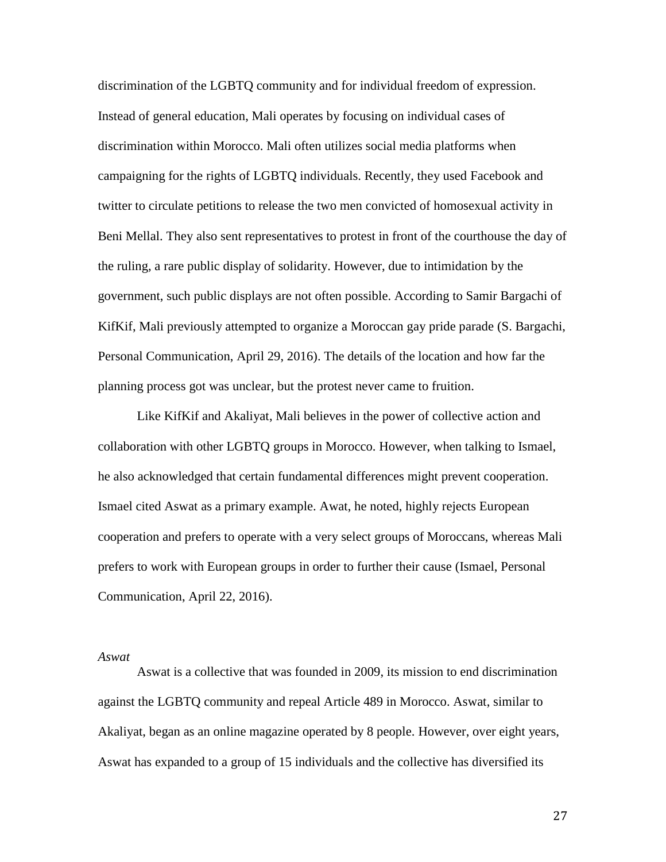discrimination of the LGBTQ community and for individual freedom of expression. Instead of general education, Mali operates by focusing on individual cases of discrimination within Morocco. Mali often utilizes social media platforms when campaigning for the rights of LGBTQ individuals. Recently, they used Facebook and twitter to circulate petitions to release the two men convicted of homosexual activity in Beni Mellal. They also sent representatives to protest in front of the courthouse the day of the ruling, a rare public display of solidarity. However, due to intimidation by the government, such public displays are not often possible. According to Samir Bargachi of KifKif, Mali previously attempted to organize a Moroccan gay pride parade (S. Bargachi, Personal Communication, April 29, 2016). The details of the location and how far the planning process got was unclear, but the protest never came to fruition.

Like KifKif and Akaliyat, Mali believes in the power of collective action and collaboration with other LGBTQ groups in Morocco. However, when talking to Ismael, he also acknowledged that certain fundamental differences might prevent cooperation. Ismael cited Aswat as a primary example. Awat, he noted, highly rejects European cooperation and prefers to operate with a very select groups of Moroccans, whereas Mali prefers to work with European groups in order to further their cause (Ismael, Personal Communication, April 22, 2016).

#### *Aswat*

Aswat is a collective that was founded in 2009, its mission to end discrimination against the LGBTQ community and repeal Article 489 in Morocco. Aswat, similar to Akaliyat, began as an online magazine operated by 8 people. However, over eight years, Aswat has expanded to a group of 15 individuals and the collective has diversified its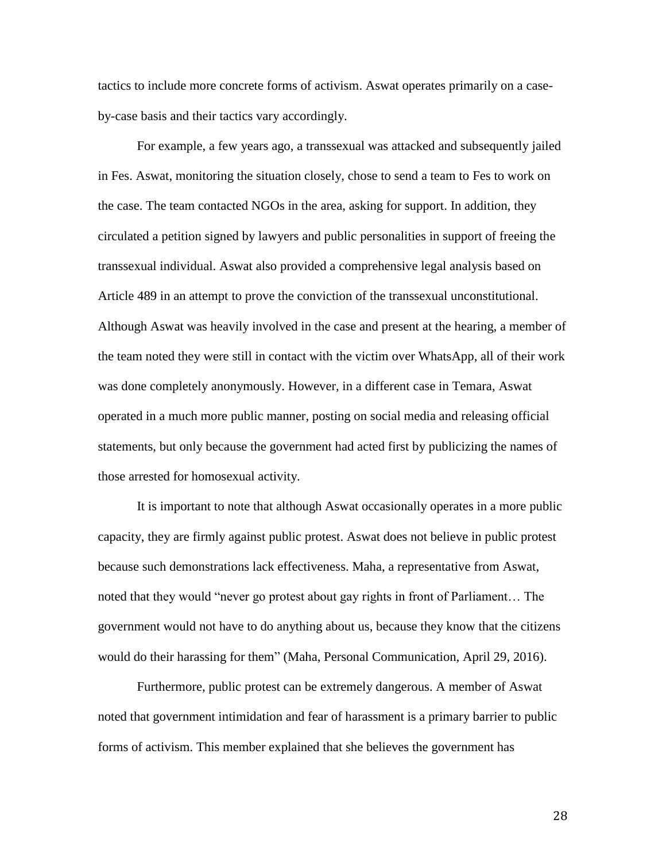tactics to include more concrete forms of activism. Aswat operates primarily on a caseby-case basis and their tactics vary accordingly.

For example, a few years ago, a transsexual was attacked and subsequently jailed in Fes. Aswat, monitoring the situation closely, chose to send a team to Fes to work on the case. The team contacted NGOs in the area, asking for support. In addition, they circulated a petition signed by lawyers and public personalities in support of freeing the transsexual individual. Aswat also provided a comprehensive legal analysis based on Article 489 in an attempt to prove the conviction of the transsexual unconstitutional. Although Aswat was heavily involved in the case and present at the hearing, a member of the team noted they were still in contact with the victim over WhatsApp, all of their work was done completely anonymously. However, in a different case in Temara, Aswat operated in a much more public manner, posting on social media and releasing official statements, but only because the government had acted first by publicizing the names of those arrested for homosexual activity.

It is important to note that although Aswat occasionally operates in a more public capacity, they are firmly against public protest. Aswat does not believe in public protest because such demonstrations lack effectiveness. Maha, a representative from Aswat, noted that they would "never go protest about gay rights in front of Parliament… The government would not have to do anything about us, because they know that the citizens would do their harassing for them" (Maha, Personal Communication, April 29, 2016).

Furthermore, public protest can be extremely dangerous. A member of Aswat noted that government intimidation and fear of harassment is a primary barrier to public forms of activism. This member explained that she believes the government has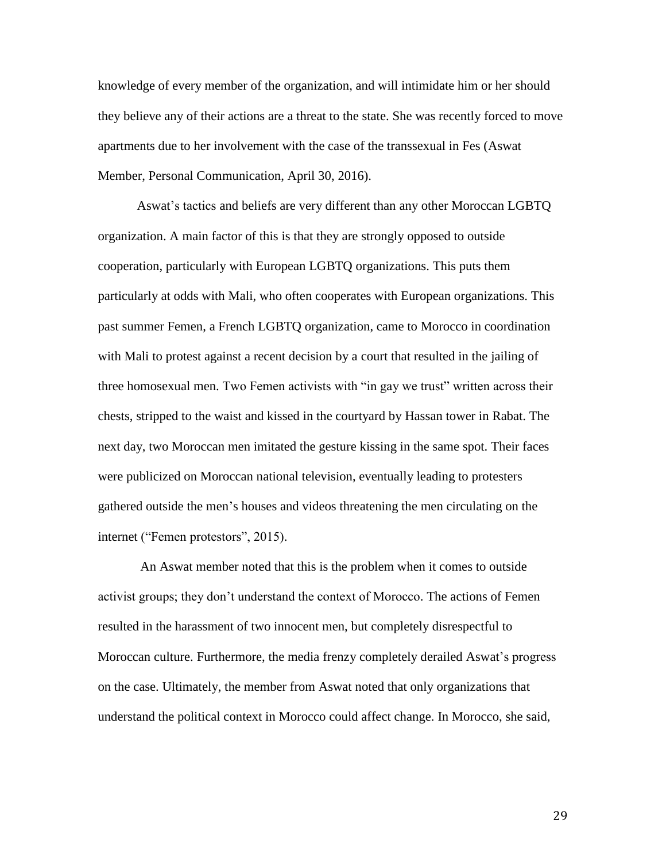knowledge of every member of the organization, and will intimidate him or her should they believe any of their actions are a threat to the state. She was recently forced to move apartments due to her involvement with the case of the transsexual in Fes (Aswat Member, Personal Communication, April 30, 2016).

Aswat's tactics and beliefs are very different than any other Moroccan LGBTQ organization. A main factor of this is that they are strongly opposed to outside cooperation, particularly with European LGBTQ organizations. This puts them particularly at odds with Mali, who often cooperates with European organizations. This past summer Femen, a French LGBTQ organization, came to Morocco in coordination with Mali to protest against a recent decision by a court that resulted in the jailing of three homosexual men. Two Femen activists with "in gay we trust" written across their chests, stripped to the waist and kissed in the courtyard by Hassan tower in Rabat. The next day, two Moroccan men imitated the gesture kissing in the same spot. Their faces were publicized on Moroccan national television, eventually leading to protesters gathered outside the men's houses and videos threatening the men circulating on the internet ("Femen protestors", 2015).

An Aswat member noted that this is the problem when it comes to outside activist groups; they don't understand the context of Morocco. The actions of Femen resulted in the harassment of two innocent men, but completely disrespectful to Moroccan culture. Furthermore, the media frenzy completely derailed Aswat's progress on the case. Ultimately, the member from Aswat noted that only organizations that understand the political context in Morocco could affect change. In Morocco, she said,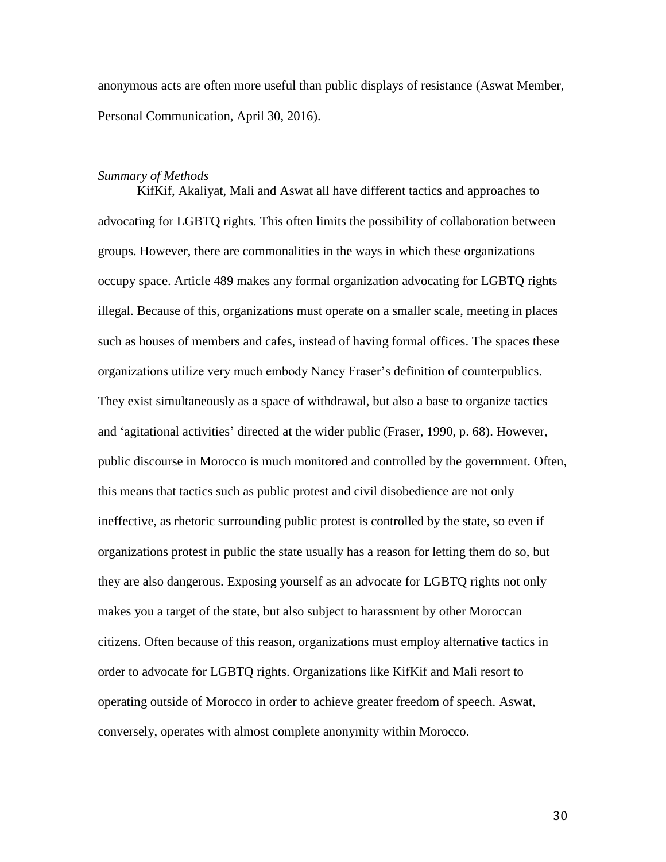anonymous acts are often more useful than public displays of resistance (Aswat Member, Personal Communication, April 30, 2016).

#### *Summary of Methods*

KifKif, Akaliyat, Mali and Aswat all have different tactics and approaches to advocating for LGBTQ rights. This often limits the possibility of collaboration between groups. However, there are commonalities in the ways in which these organizations occupy space. Article 489 makes any formal organization advocating for LGBTQ rights illegal. Because of this, organizations must operate on a smaller scale, meeting in places such as houses of members and cafes, instead of having formal offices. The spaces these organizations utilize very much embody Nancy Fraser's definition of counterpublics. They exist simultaneously as a space of withdrawal, but also a base to organize tactics and 'agitational activities' directed at the wider public (Fraser, 1990, p. 68). However, public discourse in Morocco is much monitored and controlled by the government. Often, this means that tactics such as public protest and civil disobedience are not only ineffective, as rhetoric surrounding public protest is controlled by the state, so even if organizations protest in public the state usually has a reason for letting them do so, but they are also dangerous. Exposing yourself as an advocate for LGBTQ rights not only makes you a target of the state, but also subject to harassment by other Moroccan citizens. Often because of this reason, organizations must employ alternative tactics in order to advocate for LGBTQ rights. Organizations like KifKif and Mali resort to operating outside of Morocco in order to achieve greater freedom of speech. Aswat, conversely, operates with almost complete anonymity within Morocco.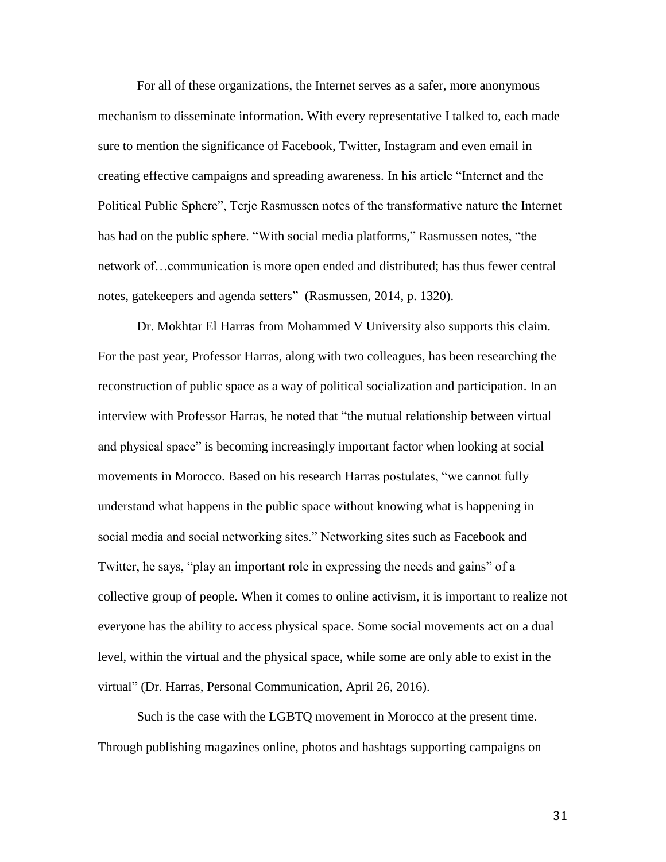For all of these organizations, the Internet serves as a safer, more anonymous mechanism to disseminate information. With every representative I talked to, each made sure to mention the significance of Facebook, Twitter, Instagram and even email in creating effective campaigns and spreading awareness. In his article "Internet and the Political Public Sphere", Terje Rasmussen notes of the transformative nature the Internet has had on the public sphere. "With social media platforms," Rasmussen notes, "the network of…communication is more open ended and distributed; has thus fewer central notes, gatekeepers and agenda setters" (Rasmussen, 2014, p. 1320).

Dr. Mokhtar El Harras from Mohammed V University also supports this claim. For the past year, Professor Harras, along with two colleagues, has been researching the reconstruction of public space as a way of political socialization and participation. In an interview with Professor Harras, he noted that "the mutual relationship between virtual and physical space" is becoming increasingly important factor when looking at social movements in Morocco. Based on his research Harras postulates, "we cannot fully understand what happens in the public space without knowing what is happening in social media and social networking sites." Networking sites such as Facebook and Twitter, he says, "play an important role in expressing the needs and gains" of a collective group of people. When it comes to online activism, it is important to realize not everyone has the ability to access physical space. Some social movements act on a dual level, within the virtual and the physical space, while some are only able to exist in the virtual" (Dr. Harras, Personal Communication, April 26, 2016).

Such is the case with the LGBTQ movement in Morocco at the present time. Through publishing magazines online, photos and hashtags supporting campaigns on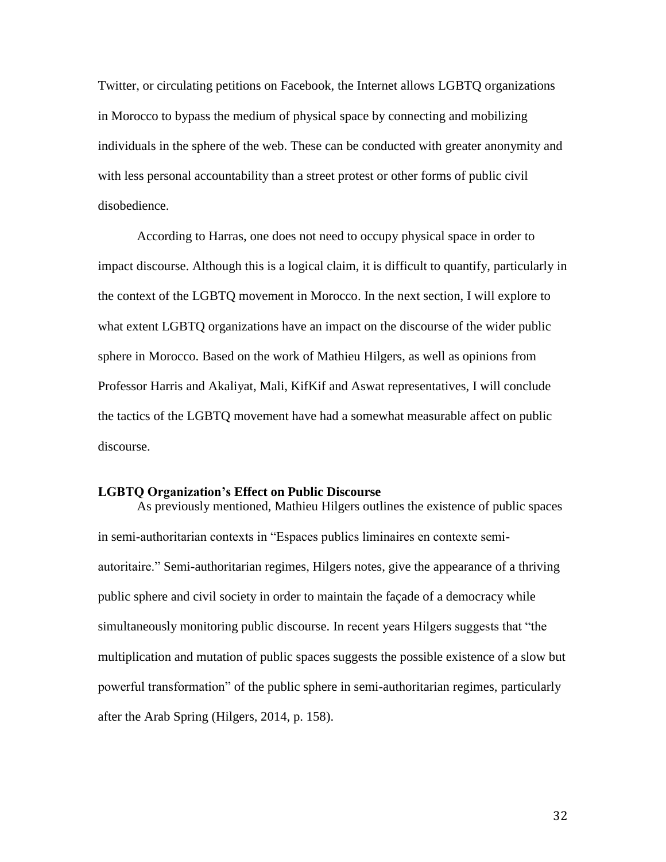Twitter, or circulating petitions on Facebook, the Internet allows LGBTQ organizations in Morocco to bypass the medium of physical space by connecting and mobilizing individuals in the sphere of the web. These can be conducted with greater anonymity and with less personal accountability than a street protest or other forms of public civil disobedience.

According to Harras, one does not need to occupy physical space in order to impact discourse. Although this is a logical claim, it is difficult to quantify, particularly in the context of the LGBTQ movement in Morocco. In the next section, I will explore to what extent LGBTQ organizations have an impact on the discourse of the wider public sphere in Morocco. Based on the work of Mathieu Hilgers, as well as opinions from Professor Harris and Akaliyat, Mali, KifKif and Aswat representatives, I will conclude the tactics of the LGBTQ movement have had a somewhat measurable affect on public discourse.

#### **LGBTQ Organization's Effect on Public Discourse**

As previously mentioned, Mathieu Hilgers outlines the existence of public spaces in semi-authoritarian contexts in "Espaces publics liminaires en contexte semiautoritaire." Semi-authoritarian regimes, Hilgers notes, give the appearance of a thriving public sphere and civil society in order to maintain the façade of a democracy while simultaneously monitoring public discourse. In recent years Hilgers suggests that "the multiplication and mutation of public spaces suggests the possible existence of a slow but powerful transformation" of the public sphere in semi-authoritarian regimes, particularly after the Arab Spring (Hilgers, 2014, p. 158).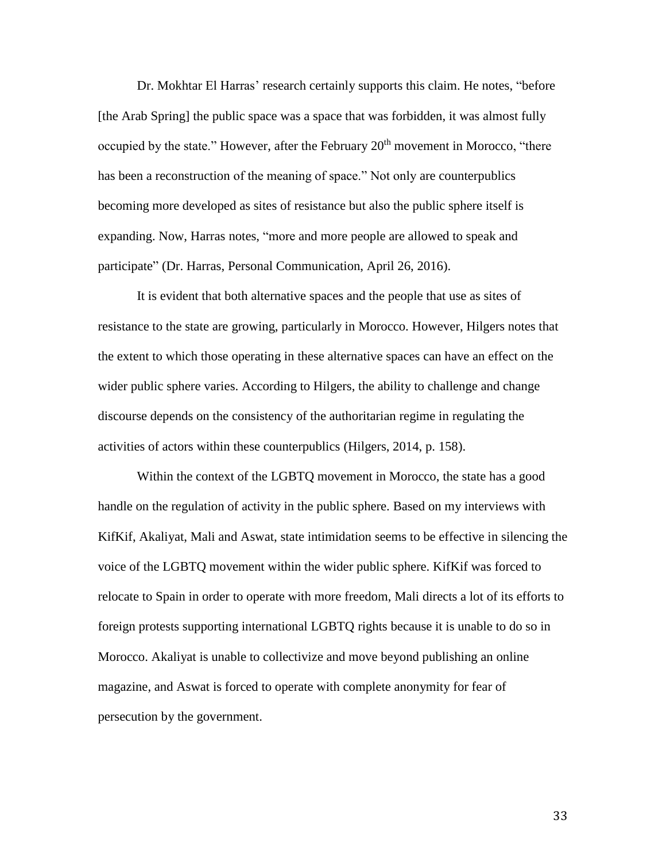Dr. Mokhtar El Harras' research certainly supports this claim. He notes, "before [the Arab Spring] the public space was a space that was forbidden, it was almost fully occupied by the state." However, after the February 20<sup>th</sup> movement in Morocco, "there has been a reconstruction of the meaning of space." Not only are counterpublics becoming more developed as sites of resistance but also the public sphere itself is expanding. Now, Harras notes, "more and more people are allowed to speak and participate" (Dr. Harras, Personal Communication, April 26, 2016).

It is evident that both alternative spaces and the people that use as sites of resistance to the state are growing, particularly in Morocco. However, Hilgers notes that the extent to which those operating in these alternative spaces can have an effect on the wider public sphere varies. According to Hilgers, the ability to challenge and change discourse depends on the consistency of the authoritarian regime in regulating the activities of actors within these counterpublics (Hilgers, 2014, p. 158).

Within the context of the LGBTQ movement in Morocco, the state has a good handle on the regulation of activity in the public sphere. Based on my interviews with KifKif, Akaliyat, Mali and Aswat, state intimidation seems to be effective in silencing the voice of the LGBTQ movement within the wider public sphere. KifKif was forced to relocate to Spain in order to operate with more freedom, Mali directs a lot of its efforts to foreign protests supporting international LGBTQ rights because it is unable to do so in Morocco. Akaliyat is unable to collectivize and move beyond publishing an online magazine, and Aswat is forced to operate with complete anonymity for fear of persecution by the government.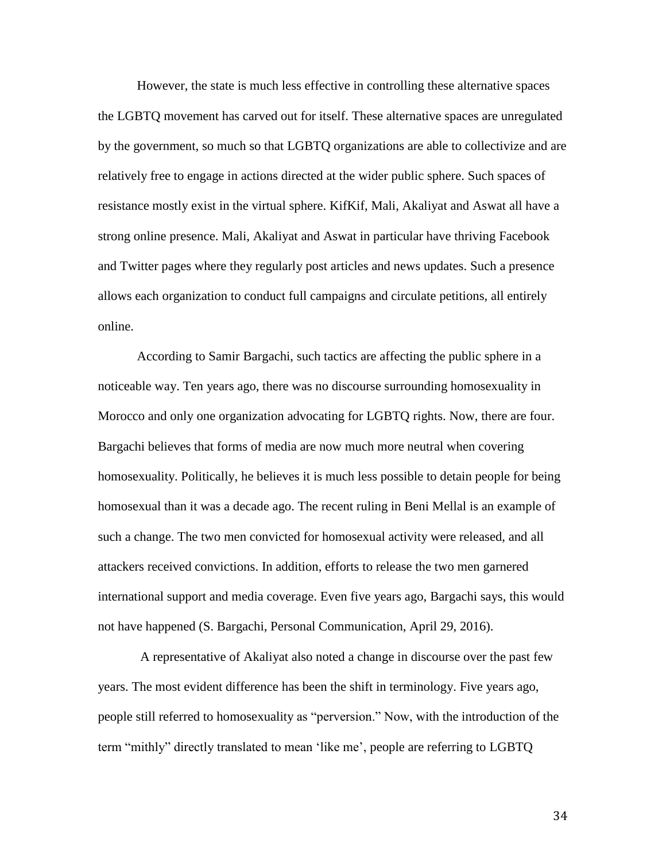However, the state is much less effective in controlling these alternative spaces the LGBTQ movement has carved out for itself. These alternative spaces are unregulated by the government, so much so that LGBTQ organizations are able to collectivize and are relatively free to engage in actions directed at the wider public sphere. Such spaces of resistance mostly exist in the virtual sphere. KifKif, Mali, Akaliyat and Aswat all have a strong online presence. Mali, Akaliyat and Aswat in particular have thriving Facebook and Twitter pages where they regularly post articles and news updates. Such a presence allows each organization to conduct full campaigns and circulate petitions, all entirely online.

According to Samir Bargachi, such tactics are affecting the public sphere in a noticeable way. Ten years ago, there was no discourse surrounding homosexuality in Morocco and only one organization advocating for LGBTQ rights. Now, there are four. Bargachi believes that forms of media are now much more neutral when covering homosexuality. Politically, he believes it is much less possible to detain people for being homosexual than it was a decade ago. The recent ruling in Beni Mellal is an example of such a change. The two men convicted for homosexual activity were released, and all attackers received convictions. In addition, efforts to release the two men garnered international support and media coverage. Even five years ago, Bargachi says, this would not have happened (S. Bargachi, Personal Communication, April 29, 2016).

A representative of Akaliyat also noted a change in discourse over the past few years. The most evident difference has been the shift in terminology. Five years ago, people still referred to homosexuality as "perversion." Now, with the introduction of the term "mithly" directly translated to mean 'like me', people are referring to LGBTQ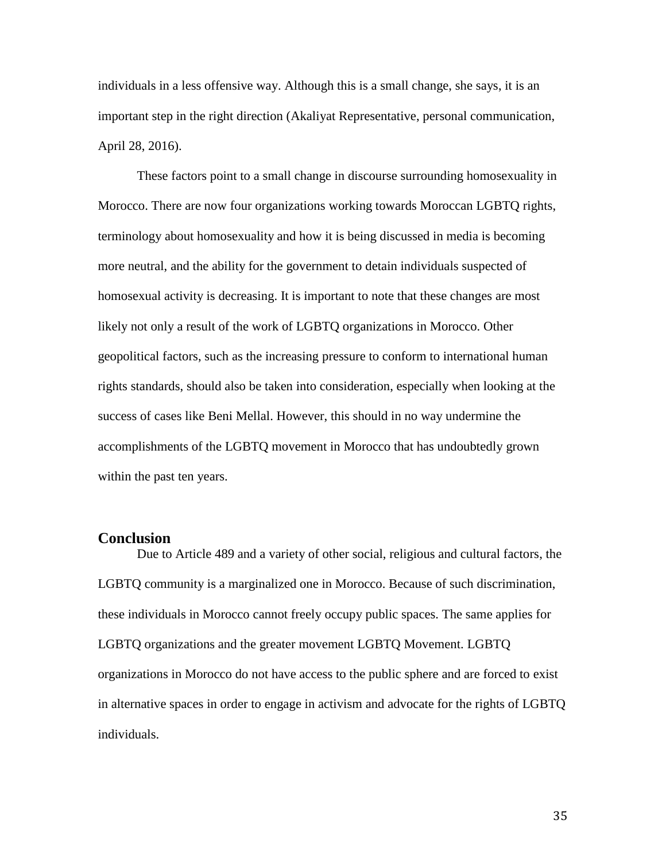individuals in a less offensive way. Although this is a small change, she says, it is an important step in the right direction (Akaliyat Representative, personal communication, April 28, 2016).

These factors point to a small change in discourse surrounding homosexuality in Morocco. There are now four organizations working towards Moroccan LGBTQ rights, terminology about homosexuality and how it is being discussed in media is becoming more neutral, and the ability for the government to detain individuals suspected of homosexual activity is decreasing. It is important to note that these changes are most likely not only a result of the work of LGBTQ organizations in Morocco. Other geopolitical factors, such as the increasing pressure to conform to international human rights standards, should also be taken into consideration, especially when looking at the success of cases like Beni Mellal. However, this should in no way undermine the accomplishments of the LGBTQ movement in Morocco that has undoubtedly grown within the past ten years.

#### **Conclusion**

Due to Article 489 and a variety of other social, religious and cultural factors, the LGBTQ community is a marginalized one in Morocco. Because of such discrimination, these individuals in Morocco cannot freely occupy public spaces. The same applies for LGBTQ organizations and the greater movement LGBTQ Movement. LGBTQ organizations in Morocco do not have access to the public sphere and are forced to exist in alternative spaces in order to engage in activism and advocate for the rights of LGBTQ individuals.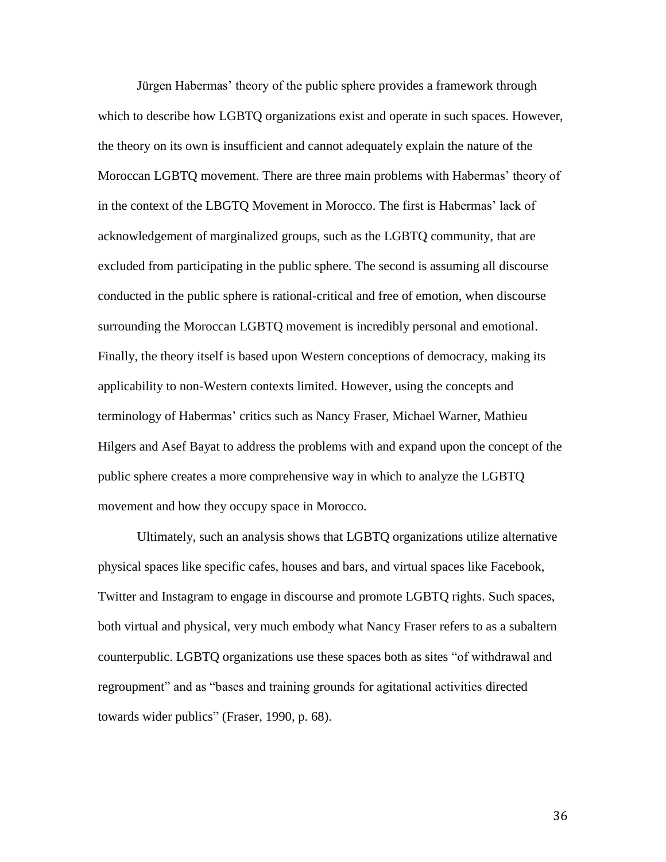Jürgen Habermas' theory of the public sphere provides a framework through which to describe how LGBTQ organizations exist and operate in such spaces. However, the theory on its own is insufficient and cannot adequately explain the nature of the Moroccan LGBTQ movement. There are three main problems with Habermas' theory of in the context of the LBGTQ Movement in Morocco. The first is Habermas' lack of acknowledgement of marginalized groups, such as the LGBTQ community, that are excluded from participating in the public sphere. The second is assuming all discourse conducted in the public sphere is rational-critical and free of emotion, when discourse surrounding the Moroccan LGBTQ movement is incredibly personal and emotional. Finally, the theory itself is based upon Western conceptions of democracy, making its applicability to non-Western contexts limited. However, using the concepts and terminology of Habermas' critics such as Nancy Fraser, Michael Warner, Mathieu Hilgers and Asef Bayat to address the problems with and expand upon the concept of the public sphere creates a more comprehensive way in which to analyze the LGBTQ movement and how they occupy space in Morocco.

Ultimately, such an analysis shows that LGBTQ organizations utilize alternative physical spaces like specific cafes, houses and bars, and virtual spaces like Facebook, Twitter and Instagram to engage in discourse and promote LGBTQ rights. Such spaces, both virtual and physical, very much embody what Nancy Fraser refers to as a subaltern counterpublic. LGBTQ organizations use these spaces both as sites "of withdrawal and regroupment" and as "bases and training grounds for agitational activities directed towards wider publics" (Fraser, 1990, p. 68).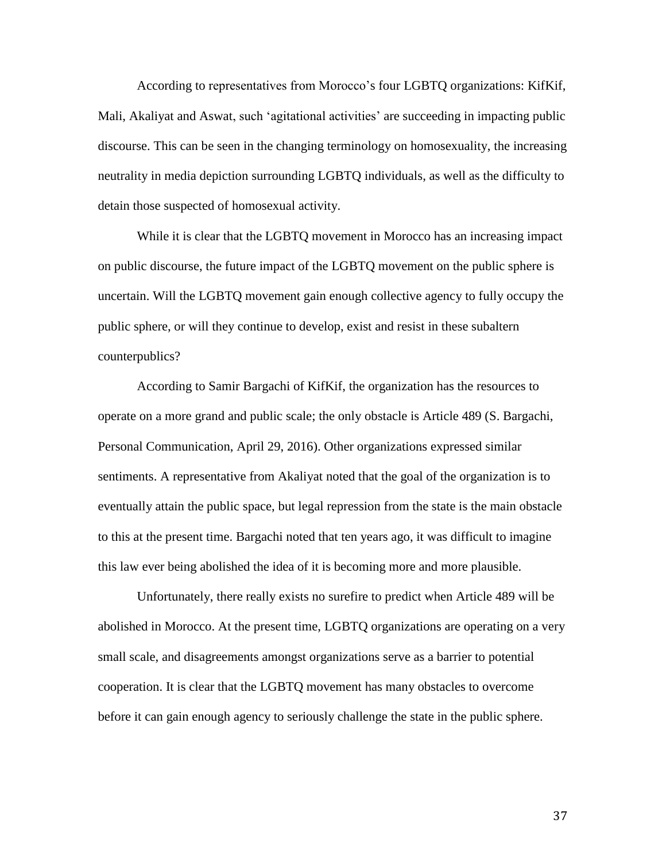According to representatives from Morocco's four LGBTQ organizations: KifKif, Mali, Akaliyat and Aswat, such 'agitational activities' are succeeding in impacting public discourse. This can be seen in the changing terminology on homosexuality, the increasing neutrality in media depiction surrounding LGBTQ individuals, as well as the difficulty to detain those suspected of homosexual activity.

While it is clear that the LGBTQ movement in Morocco has an increasing impact on public discourse, the future impact of the LGBTQ movement on the public sphere is uncertain. Will the LGBTQ movement gain enough collective agency to fully occupy the public sphere, or will they continue to develop, exist and resist in these subaltern counterpublics?

According to Samir Bargachi of KifKif, the organization has the resources to operate on a more grand and public scale; the only obstacle is Article 489 (S. Bargachi, Personal Communication, April 29, 2016). Other organizations expressed similar sentiments. A representative from Akaliyat noted that the goal of the organization is to eventually attain the public space, but legal repression from the state is the main obstacle to this at the present time. Bargachi noted that ten years ago, it was difficult to imagine this law ever being abolished the idea of it is becoming more and more plausible.

Unfortunately, there really exists no surefire to predict when Article 489 will be abolished in Morocco. At the present time, LGBTQ organizations are operating on a very small scale, and disagreements amongst organizations serve as a barrier to potential cooperation. It is clear that the LGBTQ movement has many obstacles to overcome before it can gain enough agency to seriously challenge the state in the public sphere.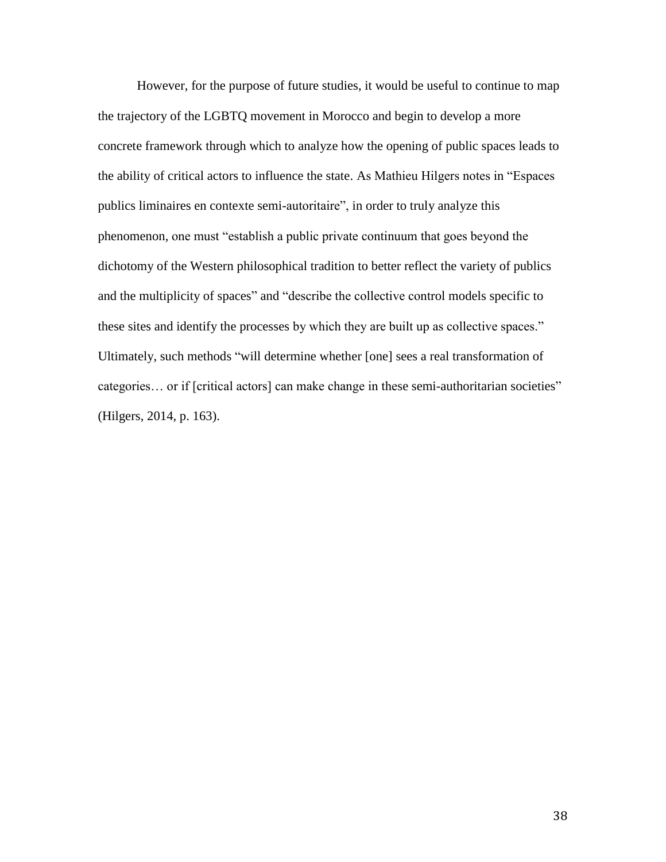However, for the purpose of future studies, it would be useful to continue to map the trajectory of the LGBTQ movement in Morocco and begin to develop a more concrete framework through which to analyze how the opening of public spaces leads to the ability of critical actors to influence the state. As Mathieu Hilgers notes in "Espaces publics liminaires en contexte semi-autoritaire", in order to truly analyze this phenomenon, one must "establish a public private continuum that goes beyond the dichotomy of the Western philosophical tradition to better reflect the variety of publics and the multiplicity of spaces" and "describe the collective control models specific to these sites and identify the processes by which they are built up as collective spaces." Ultimately, such methods "will determine whether [one] sees a real transformation of categories… or if [critical actors] can make change in these semi-authoritarian societies" (Hilgers, 2014, p. 163).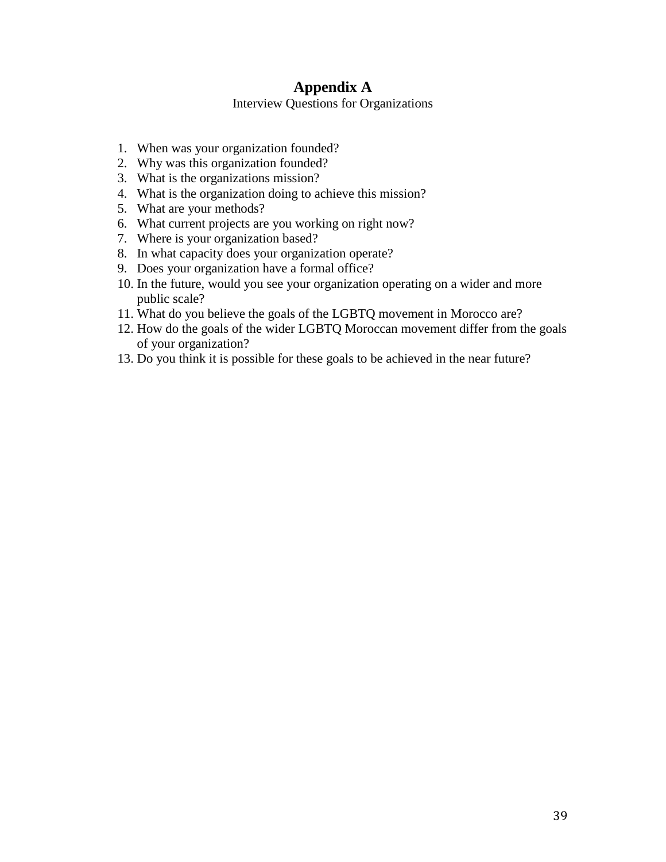# **Appendix A**

Interview Questions for Organizations

- 1. When was your organization founded?
- 2. Why was this organization founded?
- 3. What is the organizations mission?
- 4. What is the organization doing to achieve this mission?
- 5. What are your methods?
- 6. What current projects are you working on right now?
- 7. Where is your organization based?
- 8. In what capacity does your organization operate?
- 9. Does your organization have a formal office?
- 10. In the future, would you see your organization operating on a wider and more public scale?
- 11. What do you believe the goals of the LGBTQ movement in Morocco are?
- 12. How do the goals of the wider LGBTQ Moroccan movement differ from the goals of your organization?
- 13. Do you think it is possible for these goals to be achieved in the near future?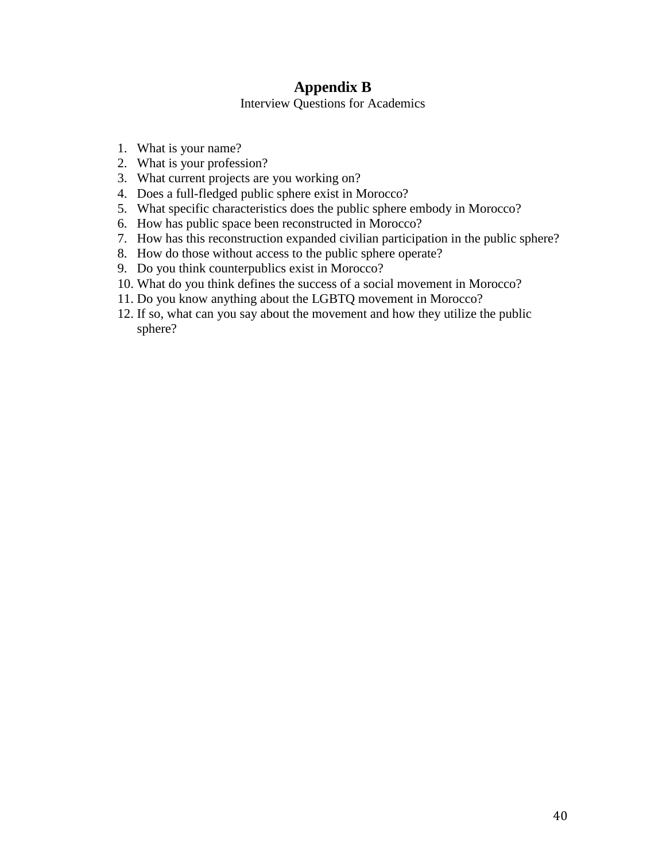# **Appendix B**

Interview Questions for Academics

- 1. What is your name?
- 2. What is your profession?
- 3. What current projects are you working on?
- 4. Does a full-fledged public sphere exist in Morocco?
- 5. What specific characteristics does the public sphere embody in Morocco?
- 6. How has public space been reconstructed in Morocco?
- 7. How has this reconstruction expanded civilian participation in the public sphere?
- 8. How do those without access to the public sphere operate?
- 9. Do you think counterpublics exist in Morocco?
- 10. What do you think defines the success of a social movement in Morocco?
- 11. Do you know anything about the LGBTQ movement in Morocco?
- 12. If so, what can you say about the movement and how they utilize the public sphere?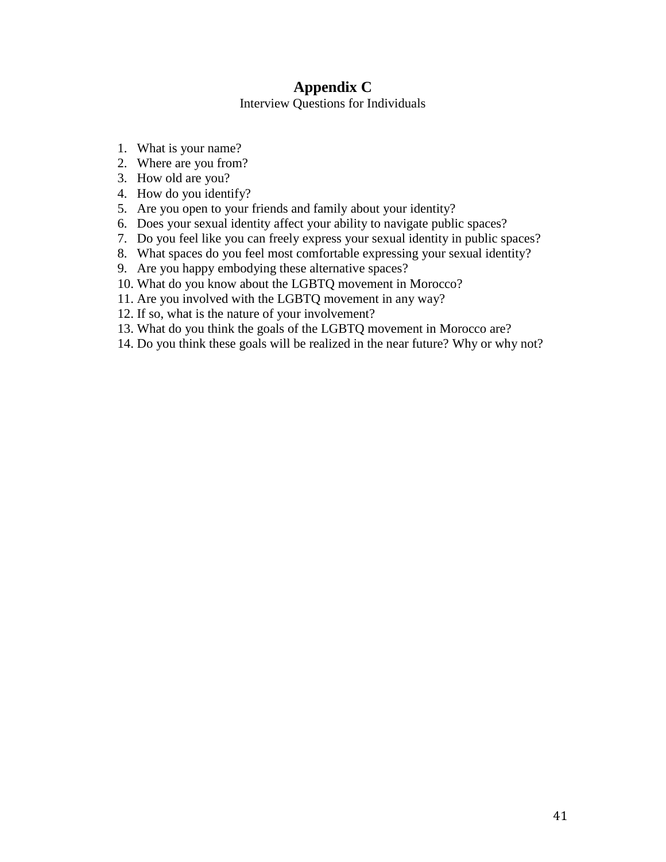# **Appendix C**

Interview Questions for Individuals

- 1. What is your name?
- 2. Where are you from?
- 3. How old are you?
- 4. How do you identify?
- 5. Are you open to your friends and family about your identity?
- 6. Does your sexual identity affect your ability to navigate public spaces?
- 7. Do you feel like you can freely express your sexual identity in public spaces?
- 8. What spaces do you feel most comfortable expressing your sexual identity?
- 9. Are you happy embodying these alternative spaces?
- 10. What do you know about the LGBTQ movement in Morocco?
- 11. Are you involved with the LGBTQ movement in any way?
- 12. If so, what is the nature of your involvement?
- 13. What do you think the goals of the LGBTQ movement in Morocco are?
- 14. Do you think these goals will be realized in the near future? Why or why not?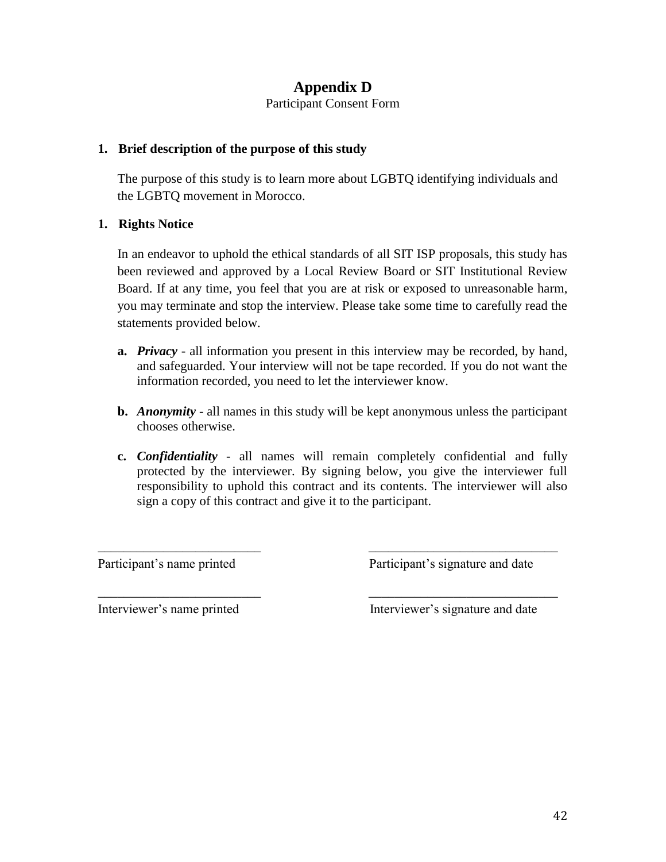# **Appendix D**

Participant Consent Form

### **1. Brief description of the purpose of this study**

The purpose of this study is to learn more about LGBTQ identifying individuals and the LGBTQ movement in Morocco.

### **1. Rights Notice**

In an endeavor to uphold the ethical standards of all SIT ISP proposals, this study has been reviewed and approved by a Local Review Board or SIT Institutional Review Board. If at any time, you feel that you are at risk or exposed to unreasonable harm, you may terminate and stop the interview. Please take some time to carefully read the statements provided below.

- **a.** *Privacy -* all information you present in this interview may be recorded, by hand, and safeguarded. Your interview will not be tape recorded. If you do not want the information recorded, you need to let the interviewer know.
- **b.** *Anonymity -* all names in this study will be kept anonymous unless the participant chooses otherwise.
- **c.** *Confidentiality*  all names will remain completely confidential and fully protected by the interviewer. By signing below, you give the interviewer full responsibility to uphold this contract and its contents. The interviewer will also sign a copy of this contract and give it to the participant.

\_\_\_\_\_\_\_\_\_\_\_\_\_\_\_\_\_\_\_\_\_\_\_\_\_ \_\_\_\_\_\_\_\_\_\_\_\_\_\_\_\_\_\_\_\_\_\_\_\_\_\_\_\_\_

\_\_\_\_\_\_\_\_\_\_\_\_\_\_\_\_\_\_\_\_\_\_\_\_\_ \_\_\_\_\_\_\_\_\_\_\_\_\_\_\_\_\_\_\_\_\_\_\_\_\_\_\_\_\_

Participant's name printed Participant's signature and date

Interviewer's name printed Interviewer's signature and date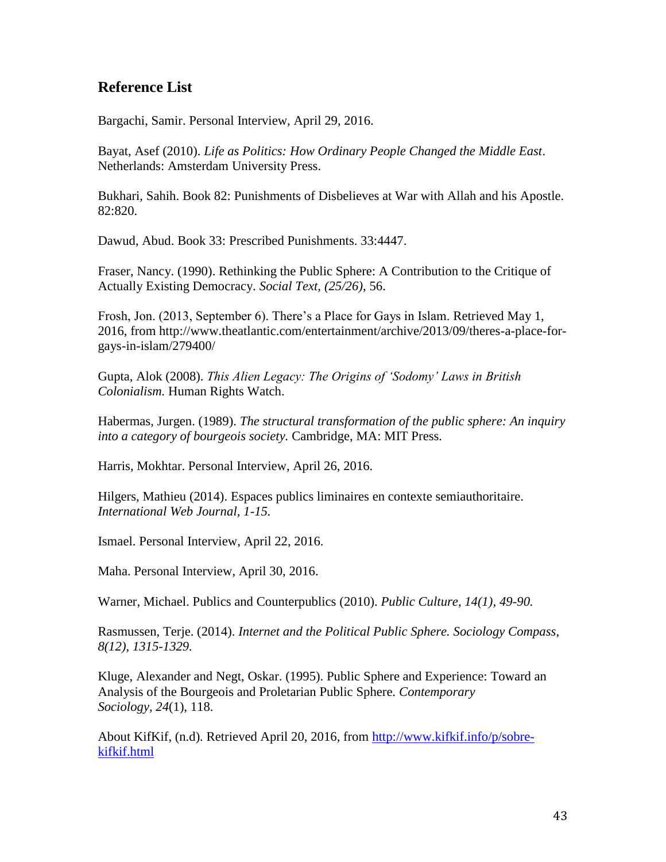# **Reference List**

Bargachi, Samir. Personal Interview, April 29, 2016.

Bayat, Asef (2010). *Life as Politics: How Ordinary People Changed the Middle East*. Netherlands: Amsterdam University Press.

Bukhari, Sahih. Book 82: Punishments of Disbelieves at War with Allah and his Apostle. 82:820.

Dawud, Abud. Book 33: Prescribed Punishments. 33:4447.

Fraser, Nancy. (1990). Rethinking the Public Sphere: A Contribution to the Critique of Actually Existing Democracy*. Social Text, (25/26)*, 56.

Frosh, Jon. (2013, September 6). There's a Place for Gays in Islam. Retrieved May 1, 2016, from http://www.theatlantic.com/entertainment/archive/2013/09/theres-a-place-forgays-in-islam/279400/

Gupta, Alok (2008). *This Alien Legacy: The Origins of 'Sodomy' Laws in British Colonialism.* Human Rights Watch.

Habermas, Jurgen. (1989). *The structural transformation of the public sphere: An inquiry into a category of bourgeois society.* Cambridge, MA: MIT Press.

Harris, Mokhtar. Personal Interview, April 26, 2016.

Hilgers, Mathieu (2014). Espaces publics liminaires en contexte semiauthoritaire. *International Web Journal, 1-15.* 

Ismael. Personal Interview, April 22, 2016.

Maha. Personal Interview, April 30, 2016.

Warner, Michael. Publics and Counterpublics (2010). *Public Culture, 14(1), 49-90.* 

Rasmussen, Terje. (2014). *Internet and the Political Public Sphere. Sociology Compass*, *8(12), 1315-1329.* 

Kluge, Alexander and Negt, Oskar. (1995). Public Sphere and Experience: Toward an Analysis of the Bourgeois and Proletarian Public Sphere. *Contemporary Sociology, 24*(1), 118.

About KifKif, (n.d). Retrieved April 20, 2016, from [http://www.kifkif.info/p/sobre](http://www.kifkif.info/p/sobre-kifkif.html)[kifkif.html](http://www.kifkif.info/p/sobre-kifkif.html)